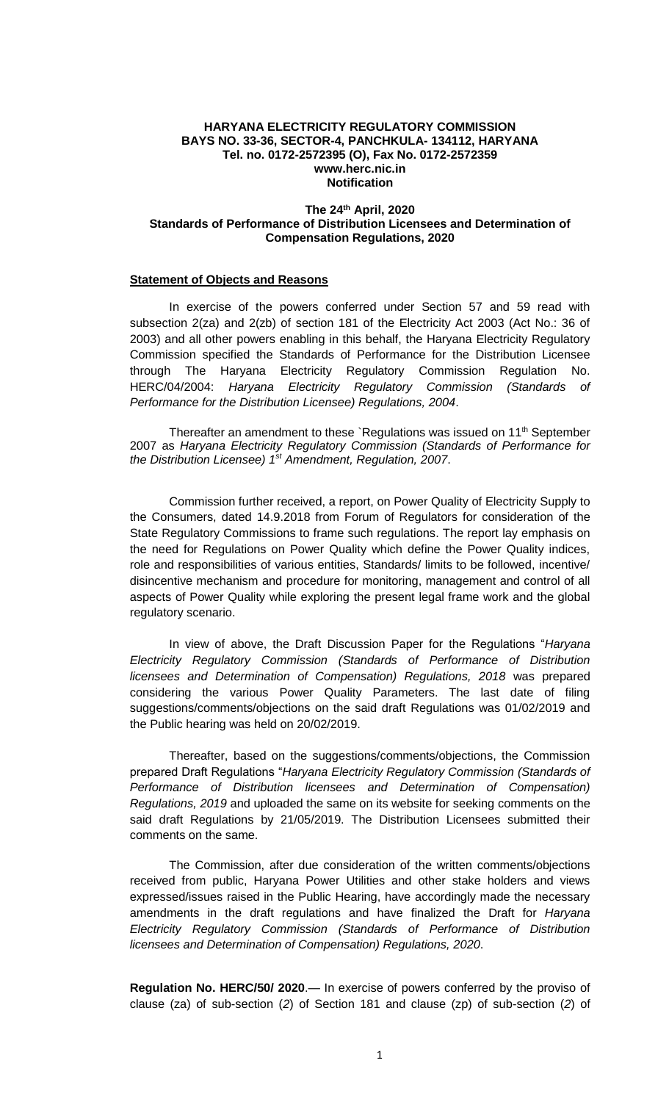#### **HARYANA ELECTRICITY REGULATORY COMMISSION BAYS NO. 33-36, SECTOR-4, PANCHKULA- 134112, HARYANA Tel. no. 0172-2572395 (O), Fax No. 0172-2572359 www.herc.nic.in Notification**

### **The 24th April, 2020 Standards of Performance of Distribution Licensees and Determination of Compensation Regulations, 2020**

# **Statement of Objects and Reasons**

In exercise of the powers conferred under Section 57 and 59 read with subsection 2(za) and 2(zb) of section 181 of the Electricity Act 2003 (Act No.: 36 of 2003) and all other powers enabling in this behalf, the Haryana Electricity Regulatory Commission specified the Standards of Performance for the Distribution Licensee through The Haryana Electricity Regulatory Commission Regulation No. HERC/04/2004: *Haryana Electricity Regulatory Commission (Standards of Performance for the Distribution Licensee) Regulations, 2004*.

Thereafter an amendment to these `Regulations was issued on 11<sup>th</sup> September 2007 as *Haryana Electricity Regulatory Commission (Standards of Performance for the Distribution Licensee) 1st Amendment, Regulation, 2007*.

Commission further received, a report, on Power Quality of Electricity Supply to the Consumers, dated 14.9.2018 from Forum of Regulators for consideration of the State Regulatory Commissions to frame such regulations. The report lay emphasis on the need for Regulations on Power Quality which define the Power Quality indices, role and responsibilities of various entities, Standards/ limits to be followed, incentive/ disincentive mechanism and procedure for monitoring, management and control of all aspects of Power Quality while exploring the present legal frame work and the global regulatory scenario.

In view of above, the Draft Discussion Paper for the Regulations "*Haryana Electricity Regulatory Commission (Standards of Performance of Distribution licensees and Determination of Compensation) Regulations, 2018* was prepared considering the various Power Quality Parameters. The last date of filing suggestions/comments/objections on the said draft Regulations was 01/02/2019 and the Public hearing was held on 20/02/2019.

Thereafter, based on the suggestions/comments/objections, the Commission prepared Draft Regulations "*Haryana Electricity Regulatory Commission (Standards of Performance of Distribution licensees and Determination of Compensation) Regulations, 2019* and uploaded the same on its website for seeking comments on the said draft Regulations by 21/05/2019. The Distribution Licensees submitted their comments on the same.

The Commission, after due consideration of the written comments/objections received from public, Haryana Power Utilities and other stake holders and views expressed/issues raised in the Public Hearing, have accordingly made the necessary amendments in the draft regulations and have finalized the Draft for *Haryana Electricity Regulatory Commission (Standards of Performance of Distribution licensees and Determination of Compensation) Regulations, 2020*.

**Regulation No. HERC/50/ 2020**.— In exercise of powers conferred by the proviso of clause (za) of sub-section (*2*) of Section 181 and clause (zp) of sub-section (*2*) of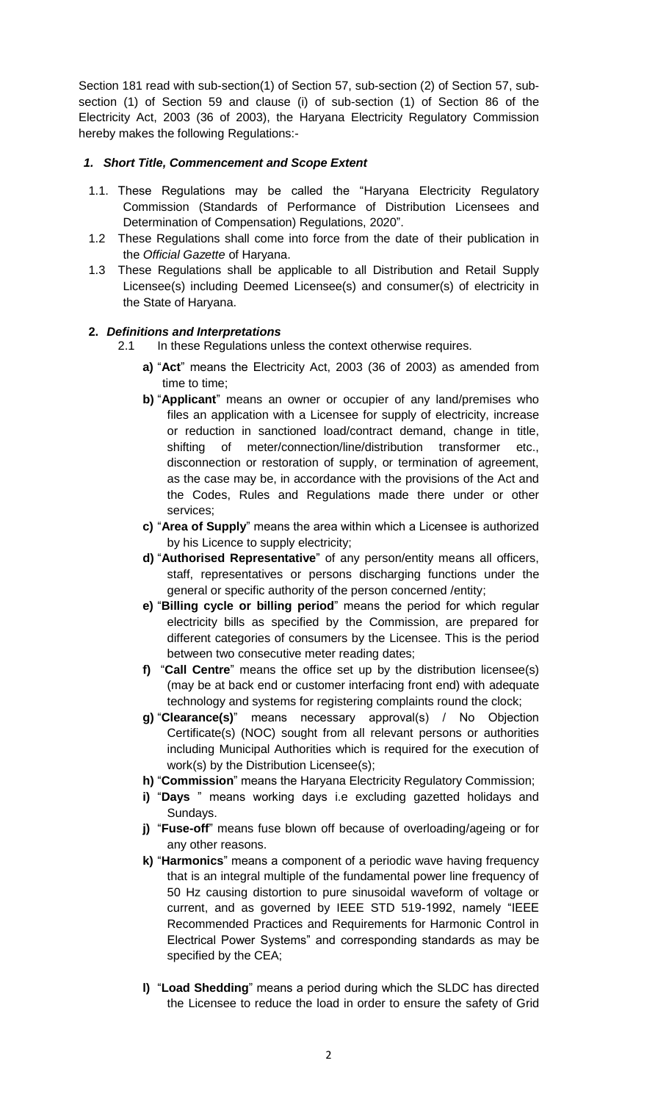Section 181 read with sub-section(1) of Section 57, sub-section (2) of Section 57, subsection (1) of Section 59 and clause (i) of sub-section (1) of Section 86 of the Electricity Act, 2003 (36 of 2003), the Haryana Electricity Regulatory Commission hereby makes the following Regulations:-

# *1. Short Title, Commencement and Scope Extent*

- 1.1. These Regulations may be called the "Haryana Electricity Regulatory Commission (Standards of Performance of Distribution Licensees and Determination of Compensation) Regulations, 2020".
- 1.2 These Regulations shall come into force from the date of their publication in the *Official Gazette* of Haryana.
- 1.3 These Regulations shall be applicable to all Distribution and Retail Supply Licensee(s) including Deemed Licensee(s) and consumer(s) of electricity in the State of Haryana.

# **2.** *Definitions and Interpretations*

- 2.1 In these Regulations unless the context otherwise requires.
	- **a)** "**Act**" means the Electricity Act, 2003 (36 of 2003) as amended from time to time;
	- **b)** "**Applicant**" means an owner or occupier of any land/premises who files an application with a Licensee for supply of electricity, increase or reduction in sanctioned load/contract demand, change in title, shifting of meter/connection/line/distribution transformer etc., disconnection or restoration of supply, or termination of agreement, as the case may be, in accordance with the provisions of the Act and the Codes, Rules and Regulations made there under or other services;
	- **c)** "**Area of Supply**" means the area within which a Licensee is authorized by his Licence to supply electricity;
	- **d)** "**Authorised Representative**" of any person/entity means all officers, staff, representatives or persons discharging functions under the general or specific authority of the person concerned /entity;
	- **e)** "**Billing cycle or billing period**" means the period for which regular electricity bills as specified by the Commission, are prepared for different categories of consumers by the Licensee. This is the period between two consecutive meter reading dates;
	- **f)** "**Call Centre**" means the office set up by the distribution licensee(s) (may be at back end or customer interfacing front end) with adequate technology and systems for registering complaints round the clock;
	- **g)** "**Clearance(s)**" means necessary approval(s) / No Objection Certificate(s) (NOC) sought from all relevant persons or authorities including Municipal Authorities which is required for the execution of work(s) by the Distribution Licensee(s);
	- **h)** "**Commission**" means the Haryana Electricity Regulatory Commission;
	- **i)** "**Days** " means working days i.e excluding gazetted holidays and Sundays.
	- **j)** "**Fuse-off**" means fuse blown off because of overloading/ageing or for any other reasons.
	- **k)** "**Harmonics**" means a component of a periodic wave having frequency that is an integral multiple of the fundamental power line frequency of 50 Hz causing distortion to pure sinusoidal waveform of voltage or current, and as governed by IEEE STD 519-1992, namely "IEEE Recommended Practices and Requirements for Harmonic Control in Electrical Power Systems" and corresponding standards as may be specified by the CEA;
	- **l)** "**Load Shedding**" means a period during which the SLDC has directed the Licensee to reduce the load in order to ensure the safety of Grid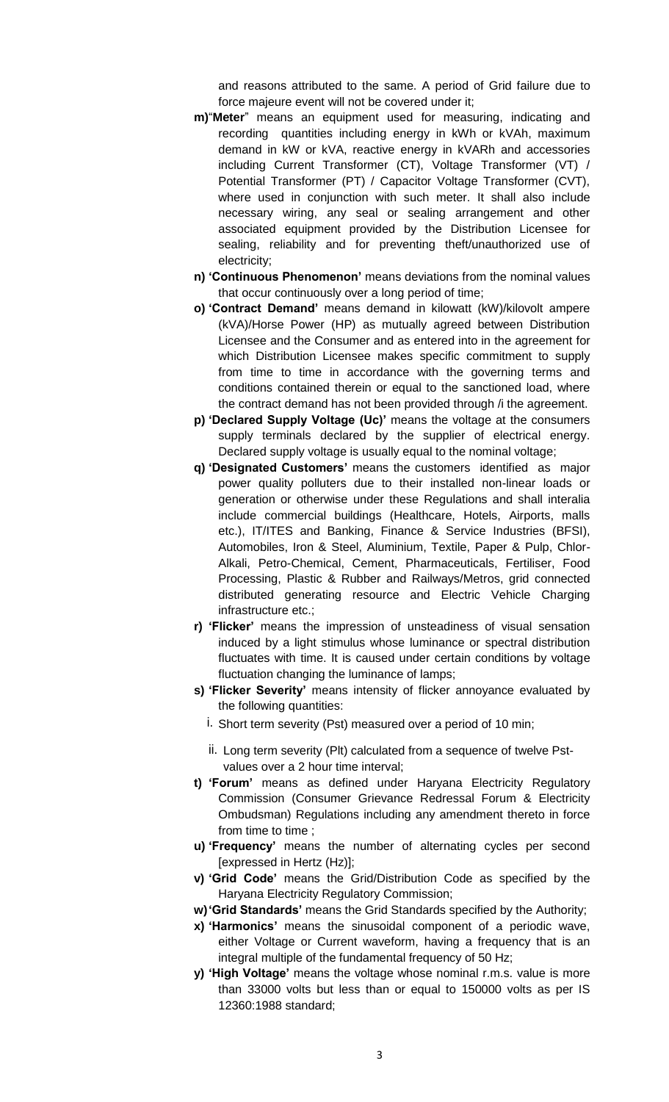and reasons attributed to the same. A period of Grid failure due to force majeure event will not be covered under it;

- **m)**"**Meter**" means an equipment used for measuring, indicating and recording quantities including energy in kWh or kVAh, maximum demand in kW or kVA, reactive energy in kVARh and accessories including Current Transformer (CT), Voltage Transformer (VT) / Potential Transformer (PT) / Capacitor Voltage Transformer (CVT), where used in conjunction with such meter. It shall also include necessary wiring, any seal or sealing arrangement and other associated equipment provided by the Distribution Licensee for sealing, reliability and for preventing theft/unauthorized use of electricity;
- **n) 'Continuous Phenomenon'** means deviations from the nominal values that occur continuously over a long period of time;
- **o) 'Contract Demand'** means demand in kilowatt (kW)/kilovolt ampere (kVA)/Horse Power (HP) as mutually agreed between Distribution Licensee and the Consumer and as entered into in the agreement for which Distribution Licensee makes specific commitment to supply from time to time in accordance with the governing terms and conditions contained therein or equal to the sanctioned load, where the contract demand has not been provided through /i the agreement.
- **p) 'Declared Supply Voltage (Uc)'** means the voltage at the consumers supply terminals declared by the supplier of electrical energy. Declared supply voltage is usually equal to the nominal voltage;
- **q) 'Designated Customers'** means the customers identified as major power quality polluters due to their installed non-linear loads or generation or otherwise under these Regulations and shall interalia include commercial buildings (Healthcare, Hotels, Airports, malls etc.), IT/ITES and Banking, Finance & Service Industries (BFSI), Automobiles, Iron & Steel, Aluminium, Textile, Paper & Pulp, Chlor-Alkali, Petro-Chemical, Cement, Pharmaceuticals, Fertiliser, Food Processing, Plastic & Rubber and Railways/Metros, grid connected distributed generating resource and Electric Vehicle Charging infrastructure etc.;
- **r) 'Flicker'** means the impression of unsteadiness of visual sensation induced by a light stimulus whose luminance or spectral distribution fluctuates with time. It is caused under certain conditions by voltage fluctuation changing the luminance of lamps;
- **s) 'Flicker Severity'** means intensity of flicker annoyance evaluated by the following quantities:
	- i. Short term severity (Pst) measured over a period of 10 min;
	- ii. Long term severity (Plt) calculated from a sequence of twelve Pstvalues over a 2 hour time interval;
- **t) 'Forum'** means as defined under Haryana Electricity Regulatory Commission (Consumer Grievance Redressal Forum & Electricity Ombudsman) Regulations including any amendment thereto in force from time to time ;
- **u) 'Frequency'** means the number of alternating cycles per second [expressed in Hertz (Hz)];
- **v) 'Grid Code'** means the Grid/Distribution Code as specified by the Haryana Electricity Regulatory Commission;
- **w)'Grid Standards'** means the Grid Standards specified by the Authority;
- **x) 'Harmonics'** means the sinusoidal component of a periodic wave, either Voltage or Current waveform, having a frequency that is an integral multiple of the fundamental frequency of 50 Hz;
- **y) 'High Voltage'** means the voltage whose nominal r.m.s. value is more than 33000 volts but less than or equal to 150000 volts as per IS 12360:1988 standard;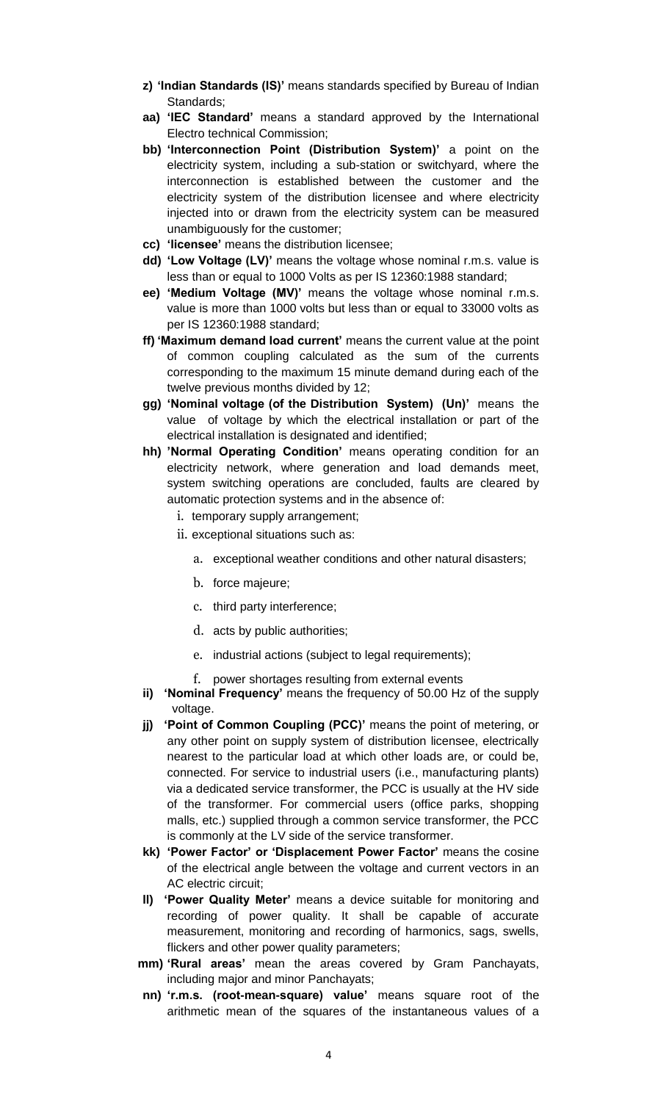- **z) 'Indian Standards (IS)'** means standards specified by Bureau of Indian Standards;
- **aa) 'IEC Standard'** means a standard approved by the International Electro technical Commission;
- **bb) 'Interconnection Point (Distribution System)'** a point on the electricity system, including a sub-station or switchyard, where the interconnection is established between the customer and the electricity system of the distribution licensee and where electricity injected into or drawn from the electricity system can be measured unambiguously for the customer;
- **cc) 'licensee'** means the distribution licensee;
- **dd) 'Low Voltage (LV)'** means the voltage whose nominal r.m.s. value is less than or equal to 1000 Volts as per IS 12360:1988 standard;
- **ee) 'Medium Voltage (MV)'** means the voltage whose nominal r.m.s. value is more than 1000 volts but less than or equal to 33000 volts as per IS 12360:1988 standard;
- **ff) 'Maximum demand load current'** means the current value at the point of common coupling calculated as the sum of the currents corresponding to the maximum 15 minute demand during each of the twelve previous months divided by 12;
- **gg) 'Nominal voltage (of the Distribution System) (Un)'** means the value of voltage by which the electrical installation or part of the electrical installation is designated and identified;
- **hh) 'Normal Operating Condition'** means operating condition for an electricity network, where generation and load demands meet, system switching operations are concluded, faults are cleared by automatic protection systems and in the absence of:
	- i. temporary supply arrangement;
	- ii. exceptional situations such as:
		- a. exceptional weather conditions and other natural disasters;
		- b. force majeure;
		- c. third party interference;
		- d. acts by public authorities;
		- e. industrial actions (subject to legal requirements);
		- f. power shortages resulting from external events
- **ii) 'Nominal Frequency'** means the frequency of 50.00 Hz of the supply voltage.
- **jj) 'Point of Common Coupling (PCC)'** means the point of metering, or any other point on supply system of distribution licensee, electrically nearest to the particular load at which other loads are, or could be, connected. For service to industrial users (i.e., manufacturing plants) via a dedicated service transformer, the PCC is usually at the HV side of the transformer. For commercial users (office parks, shopping malls, etc.) supplied through a common service transformer, the PCC is commonly at the LV side of the service transformer.
- **kk) 'Power Factor' or 'Displacement Power Factor'** means the cosine of the electrical angle between the voltage and current vectors in an AC electric circuit;
- **ll) 'Power Quality Meter'** means a device suitable for monitoring and recording of power quality. It shall be capable of accurate measurement, monitoring and recording of harmonics, sags, swells, flickers and other power quality parameters;
- **mm) 'Rural areas'** mean the areas covered by Gram Panchayats, including major and minor Panchayats;
- **nn) 'r.m.s. (root-mean-square) value'** means square root of the arithmetic mean of the squares of the instantaneous values of a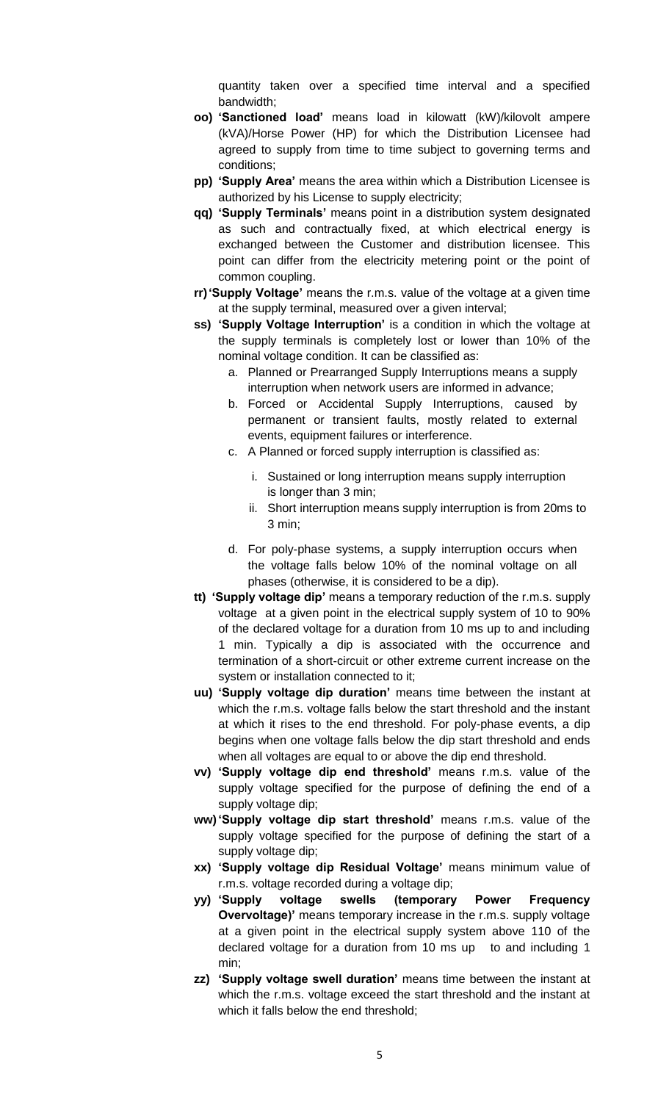quantity taken over a specified time interval and a specified bandwidth;

- **oo) 'Sanctioned load'** means load in kilowatt (kW)/kilovolt ampere (kVA)/Horse Power (HP) for which the Distribution Licensee had agreed to supply from time to time subject to governing terms and conditions;
- **pp) 'Supply Area'** means the area within which a Distribution Licensee is authorized by his License to supply electricity;
- **qq) 'Supply Terminals'** means point in a distribution system designated as such and contractually fixed, at which electrical energy is exchanged between the Customer and distribution licensee. This point can differ from the electricity metering point or the point of common coupling.
- **rr)'Supply Voltage'** means the r.m.s. value of the voltage at a given time at the supply terminal, measured over a given interval;
- **ss) 'Supply Voltage Interruption'** is a condition in which the voltage at the supply terminals is completely lost or lower than 10% of the nominal voltage condition. It can be classified as:
	- a. Planned or Prearranged Supply Interruptions means a supply interruption when network users are informed in advance;
	- b. Forced or Accidental Supply Interruptions, caused by permanent or transient faults, mostly related to external events, equipment failures or interference.
	- c. A Planned or forced supply interruption is classified as:
		- i. Sustained or long interruption means supply interruption is longer than 3 min;
		- ii. Short interruption means supply interruption is from 20ms to 3 min;
	- d. For poly-phase systems, a supply interruption occurs when the voltage falls below 10% of the nominal voltage on all phases (otherwise, it is considered to be a dip).
- **tt) 'Supply voltage dip'** means a temporary reduction of the r.m.s. supply voltage at a given point in the electrical supply system of 10 to 90% of the declared voltage for a duration from 10 ms up to and including 1 min. Typically a dip is associated with the occurrence and termination of a short-circuit or other extreme current increase on the system or installation connected to it;
- **uu) 'Supply voltage dip duration'** means time between the instant at which the r.m.s. voltage falls below the start threshold and the instant at which it rises to the end threshold. For poly-phase events, a dip begins when one voltage falls below the dip start threshold and ends when all voltages are equal to or above the dip end threshold.
- **vv) 'Supply voltage dip end threshold'** means r.m.s. value of the supply voltage specified for the purpose of defining the end of a supply voltage dip;
- **ww)'Supply voltage dip start threshold'** means r.m.s. value of the supply voltage specified for the purpose of defining the start of a supply voltage dip;
- **xx) 'Supply voltage dip Residual Voltage'** means minimum value of r.m.s. voltage recorded during a voltage dip;
- **yy) 'Supply voltage swells (temporary Power Frequency Overvoltage)'** means temporary increase in the r.m.s. supply voltage at a given point in the electrical supply system above 110 of the declared voltage for a duration from 10 ms up to and including 1 min;
- **zz) 'Supply voltage swell duration'** means time between the instant at which the r.m.s. voltage exceed the start threshold and the instant at which it falls below the end threshold;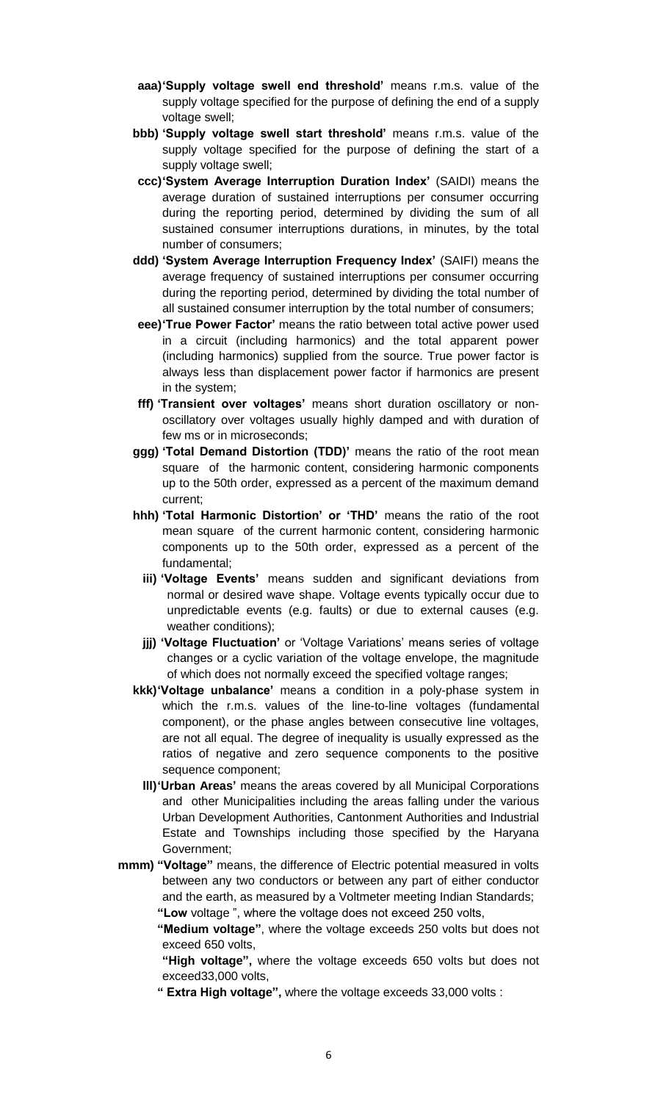- **aaa)'Supply voltage swell end threshold'** means r.m.s. value of the supply voltage specified for the purpose of defining the end of a supply voltage swell;
- **bbb) 'Supply voltage swell start threshold'** means r.m.s. value of the supply voltage specified for the purpose of defining the start of a supply voltage swell;
- **ccc)'System Average Interruption Duration Index'** (SAIDI) means the average duration of sustained interruptions per consumer occurring during the reporting period, determined by dividing the sum of all sustained consumer interruptions durations, in minutes, by the total number of consumers;
- **ddd) 'System Average Interruption Frequency Index'** (SAIFI) means the average frequency of sustained interruptions per consumer occurring during the reporting period, determined by dividing the total number of all sustained consumer interruption by the total number of consumers;
- **eee)'True Power Factor'** means the ratio between total active power used in a circuit (including harmonics) and the total apparent power (including harmonics) supplied from the source. True power factor is always less than displacement power factor if harmonics are present in the system;
- **fff) 'Transient over voltages'** means short duration oscillatory or nonoscillatory over voltages usually highly damped and with duration of few ms or in microseconds;
- **ggg) 'Total Demand Distortion (TDD)'** means the ratio of the root mean square of the harmonic content, considering harmonic components up to the 50th order, expressed as a percent of the maximum demand current;
- **hhh) 'Total Harmonic Distortion' or 'THD'** means the ratio of the root mean square of the current harmonic content, considering harmonic components up to the 50th order, expressed as a percent of the fundamental;
	- **iii) 'Voltage Events'** means sudden and significant deviations from normal or desired wave shape. Voltage events typically occur due to unpredictable events (e.g. faults) or due to external causes (e.g. weather conditions);
	- **jjj) 'Voltage Fluctuation'** or 'Voltage Variations' means series of voltage changes or a cyclic variation of the voltage envelope, the magnitude of which does not normally exceed the specified voltage ranges;
- **kkk)'Voltage unbalance'** means a condition in a poly-phase system in which the r.m.s. values of the line-to-line voltages (fundamental component), or the phase angles between consecutive line voltages, are not all equal. The degree of inequality is usually expressed as the ratios of negative and zero sequence components to the positive sequence component;
	- **lll)'Urban Areas'** means the areas covered by all Municipal Corporations and other Municipalities including the areas falling under the various Urban Development Authorities, Cantonment Authorities and Industrial Estate and Townships including those specified by the Haryana Government;
- **mmm) "Voltage"** means, the difference of Electric potential measured in volts between any two conductors or between any part of either conductor and the earth, as measured by a Voltmeter meeting Indian Standards; **"Low** voltage ", where the voltage does not exceed 250 volts,
	- **"Medium voltage"**, where the voltage exceeds 250 volts but does not exceed 650 volts,
	- **"High voltage",** where the voltage exceeds 650 volts but does not exceed33,000 volts,
	- **" Extra High voltage",** where the voltage exceeds 33,000 volts :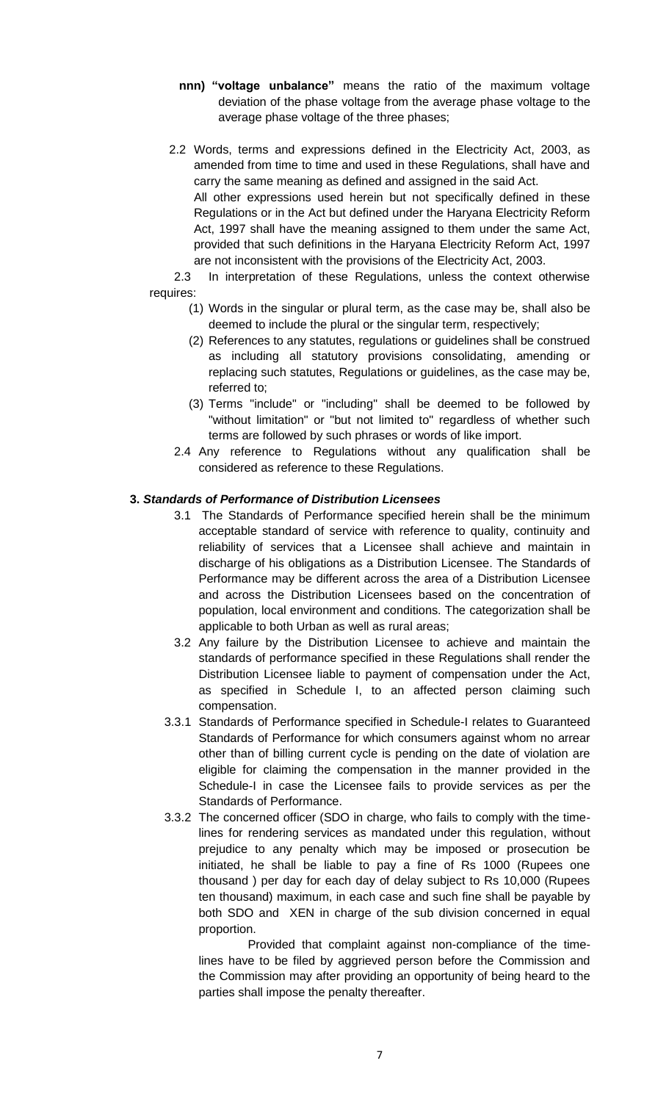- **nnn) "voltage unbalance"** means the ratio of the maximum voltage deviation of the phase voltage from the average phase voltage to the average phase voltage of the three phases;
- 2.2 Words, terms and expressions defined in the Electricity Act, 2003, as amended from time to time and used in these Regulations, shall have and carry the same meaning as defined and assigned in the said Act. All other expressions used herein but not specifically defined in these Regulations or in the Act but defined under the Haryana Electricity Reform Act, 1997 shall have the meaning assigned to them under the same Act, provided that such definitions in the Haryana Electricity Reform Act, 1997 are not inconsistent with the provisions of the Electricity Act, 2003.

2.3 In interpretation of these Regulations, unless the context otherwise requires:

- (1) Words in the singular or plural term, as the case may be, shall also be deemed to include the plural or the singular term, respectively;
- (2) References to any statutes, regulations or guidelines shall be construed as including all statutory provisions consolidating, amending or replacing such statutes, Regulations or guidelines, as the case may be, referred to;
- (3) Terms "include" or "including" shall be deemed to be followed by "without limitation" or "but not limited to" regardless of whether such terms are followed by such phrases or words of like import.
- 2.4 Any reference to Regulations without any qualification shall be considered as reference to these Regulations.

# **3.** *Standards of Performance of Distribution Licensees*

- 3.1 The Standards of Performance specified herein shall be the minimum acceptable standard of service with reference to quality, continuity and reliability of services that a Licensee shall achieve and maintain in discharge of his obligations as a Distribution Licensee. The Standards of Performance may be different across the area of a Distribution Licensee and across the Distribution Licensees based on the concentration of population, local environment and conditions. The categorization shall be applicable to both Urban as well as rural areas;
- 3.2 Any failure by the Distribution Licensee to achieve and maintain the standards of performance specified in these Regulations shall render the Distribution Licensee liable to payment of compensation under the Act, as specified in Schedule I, to an affected person claiming such compensation.
- 3.3.1 Standards of Performance specified in Schedule-I relates to Guaranteed Standards of Performance for which consumers against whom no arrear other than of billing current cycle is pending on the date of violation are eligible for claiming the compensation in the manner provided in the Schedule-I in case the Licensee fails to provide services as per the Standards of Performance.
- 3.3.2 The concerned officer (SDO in charge, who fails to comply with the timelines for rendering services as mandated under this regulation, without prejudice to any penalty which may be imposed or prosecution be initiated, he shall be liable to pay a fine of Rs 1000 (Rupees one thousand ) per day for each day of delay subject to Rs 10,000 (Rupees ten thousand) maximum, in each case and such fine shall be payable by both SDO and XEN in charge of the sub division concerned in equal proportion.

Provided that complaint against non-compliance of the timelines have to be filed by aggrieved person before the Commission and the Commission may after providing an opportunity of being heard to the parties shall impose the penalty thereafter.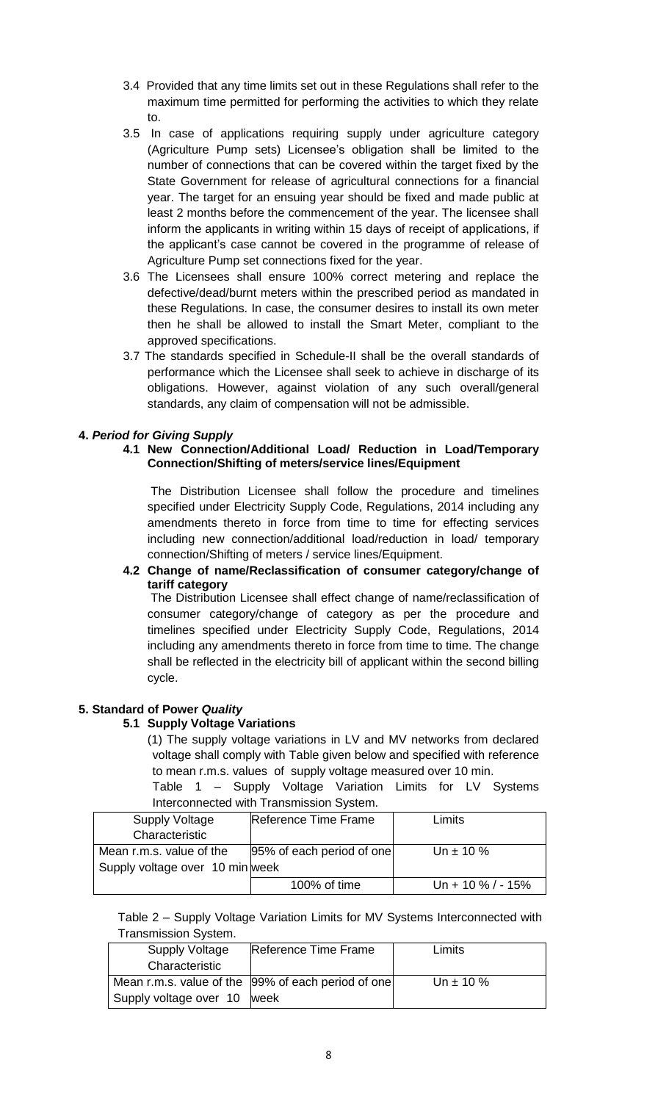- 3.4 Provided that any time limits set out in these Regulations shall refer to the maximum time permitted for performing the activities to which they relate to.
- 3.5 In case of applications requiring supply under agriculture category (Agriculture Pump sets) Licensee's obligation shall be limited to the number of connections that can be covered within the target fixed by the State Government for release of agricultural connections for a financial year. The target for an ensuing year should be fixed and made public at least 2 months before the commencement of the year. The licensee shall inform the applicants in writing within 15 days of receipt of applications, if the applicant's case cannot be covered in the programme of release of Agriculture Pump set connections fixed for the year.
- 3.6 The Licensees shall ensure 100% correct metering and replace the defective/dead/burnt meters within the prescribed period as mandated in these Regulations. In case, the consumer desires to install its own meter then he shall be allowed to install the Smart Meter, compliant to the approved specifications.
- 3.7 The standards specified in Schedule-II shall be the overall standards of performance which the Licensee shall seek to achieve in discharge of its obligations. However, against violation of any such overall/general standards, any claim of compensation will not be admissible.

# **4.** *Period for Giving Supply*

# **4.1 New Connection/Additional Load/ Reduction in Load/Temporary Connection/Shifting of meters/service lines/Equipment**

 The Distribution Licensee shall follow the procedure and timelines specified under Electricity Supply Code, Regulations, 2014 including any amendments thereto in force from time to time for effecting services including new connection/additional load/reduction in load/ temporary connection/Shifting of meters / service lines/Equipment.

### **4.2 Change of name/Reclassification of consumer category/change of tariff category**

 The Distribution Licensee shall effect change of name/reclassification of consumer category/change of category as per the procedure and timelines specified under Electricity Supply Code, Regulations, 2014 including any amendments thereto in force from time to time. The change shall be reflected in the electricity bill of applicant within the second billing cycle.

# **5. Standard of Power** *Quality*

# **5.1 Supply Voltage Variations**

- (1) The supply voltage variations in LV and MV networks from declared voltage shall comply with Table given below and specified with reference to mean r.m.s. values of supply voltage measured over 10 min.
- Table 1 Supply Voltage Variation Limits for LV Systems Interconnected with Transmission System.

| <b>Supply Voltage</b>           | Reference Time Frame      | Limits            |
|---------------------------------|---------------------------|-------------------|
| Characteristic                  |                           |                   |
| Mean r.m.s. value of the        | 95% of each period of one | Un $\pm$ 10 %     |
| Supply voltage over 10 min week |                           |                   |
|                                 | 100% of time              | Un + 10 % / - 15% |

Table 2 – Supply Voltage Variation Limits for MV Systems Interconnected with Transmission System.

| Supply Voltage              | Reference Time Frame                               | Limits        |
|-----------------------------|----------------------------------------------------|---------------|
| Characteristic              |                                                    |               |
|                             | Mean r.m.s. value of the 99% of each period of one | Un $\pm$ 10 % |
| Supply voltage over 10 week |                                                    |               |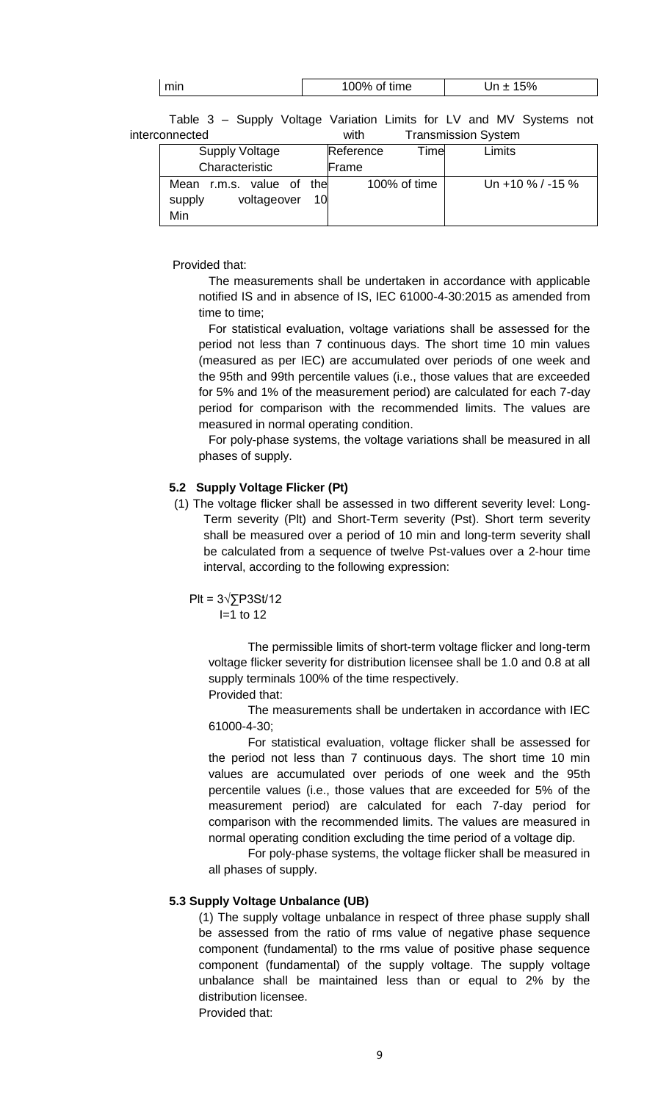Table 3 – Supply Voltage Variation Limits for LV and MV Systems not interconnected with Transmission System

| <b>Supply Voltage</b>       | Timel<br>Reference | Limits           |
|-----------------------------|--------------------|------------------|
| Characteristic              | Frame              |                  |
| r.m.s. value of the<br>Mean | 100% of time       | Un +10 % / -15 % |
| voltageover<br>supply<br>10 |                    |                  |
| Min                         |                    |                  |

Provided that:

The measurements shall be undertaken in accordance with applicable notified IS and in absence of IS, IEC 61000-4-30:2015 as amended from time to time;

For statistical evaluation, voltage variations shall be assessed for the period not less than 7 continuous days. The short time 10 min values (measured as per IEC) are accumulated over periods of one week and the 95th and 99th percentile values (i.e., those values that are exceeded for 5% and 1% of the measurement period) are calculated for each 7-day period for comparison with the recommended limits. The values are measured in normal operating condition.

For poly-phase systems, the voltage variations shall be measured in all phases of supply.

### **5.2 Supply Voltage Flicker (Pt)**

(1) The voltage flicker shall be assessed in two different severity level: Long-Term severity (Plt) and Short-Term severity (Pst). Short term severity shall be measured over a period of 10 min and long-term severity shall be calculated from a sequence of twelve Pst-values over a 2-hour time interval, according to the following expression:

$$
PIt = 3\sqrt{\sum}P3St/12
$$
  
I=1 to 12

The permissible limits of short-term voltage flicker and long-term voltage flicker severity for distribution licensee shall be 1.0 and 0.8 at all supply terminals 100% of the time respectively. Provided that:

The measurements shall be undertaken in accordance with IEC 61000-4-30;

For statistical evaluation, voltage flicker shall be assessed for the period not less than 7 continuous days. The short time 10 min values are accumulated over periods of one week and the 95th percentile values (i.e., those values that are exceeded for 5% of the measurement period) are calculated for each 7-day period for comparison with the recommended limits. The values are measured in normal operating condition excluding the time period of a voltage dip.

For poly-phase systems, the voltage flicker shall be measured in all phases of supply.

# **5.3 Supply Voltage Unbalance (UB)**

(1) The supply voltage unbalance in respect of three phase supply shall be assessed from the ratio of rms value of negative phase sequence component (fundamental) to the rms value of positive phase sequence component (fundamental) of the supply voltage. The supply voltage unbalance shall be maintained less than or equal to 2% by the distribution licensee.

Provided that: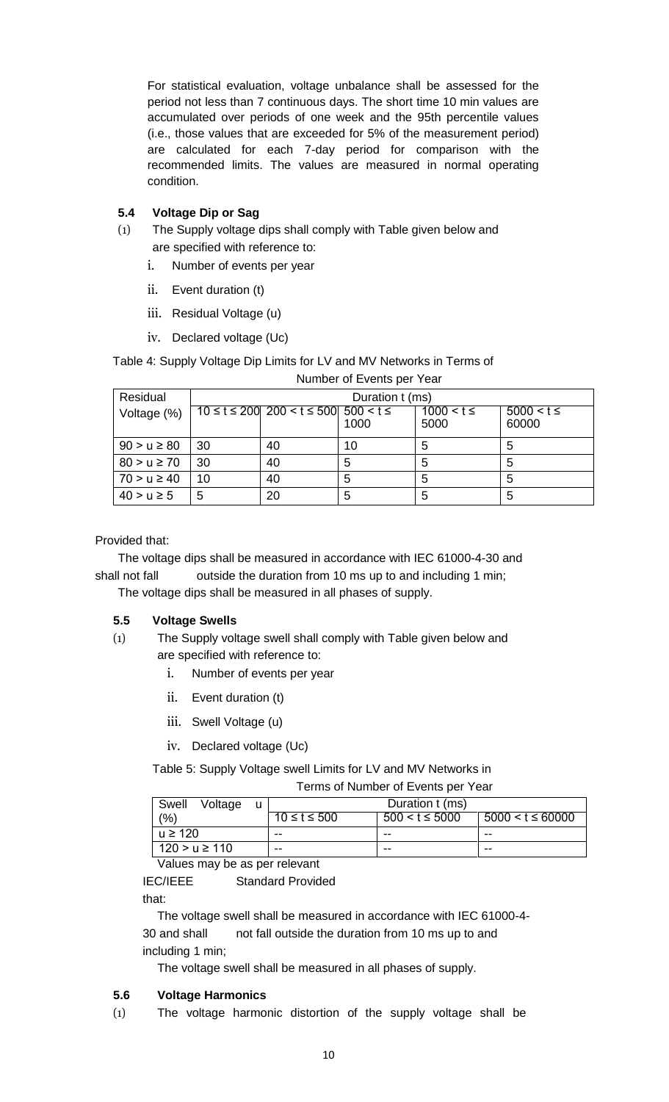For statistical evaluation, voltage unbalance shall be assessed for the period not less than 7 continuous days. The short time 10 min values are accumulated over periods of one week and the 95th percentile values (i.e., those values that are exceeded for 5% of the measurement period) are calculated for each 7-day period for comparison with the recommended limits. The values are measured in normal operating condition.

# **5.4 Voltage Dip or Sag**

- (1) The Supply voltage dips shall comply with Table given below and are specified with reference to:
	- i. Number of events per year
	- ii. Event duration (t)
	- iii. Residual Voltage (u)
	- iv. Declared voltage (Uc)

Table 4: Supply Voltage Dip Limits for LV and MV Networks in Terms of Number of Events per Year

| Residual        | Duration t (ms) |                                                       |      |                        |                         |  |  |
|-----------------|-----------------|-------------------------------------------------------|------|------------------------|-------------------------|--|--|
| Voltage (%)     |                 | $10 \le t \le 200$ 200 $\lt t \le 500$ 500 $\t t \le$ | 1000 | $1000 < t \le$<br>5000 | $5000 < t \le$<br>60000 |  |  |
| $90 > u \ge 80$ | 30              | 40                                                    | 10   | 5                      | 5                       |  |  |
| $80 > u \ge 70$ | 30              | 40                                                    | 5    | 5                      | 5                       |  |  |
| $70 > u \ge 40$ | 10              | 40                                                    | 5    | 5                      | 5                       |  |  |
| $40 > u \ge 5$  | 5               | 20                                                    | 5    | 5                      | 5                       |  |  |

# Provided that:

The voltage dips shall be measured in accordance with IEC 61000-4-30 and shall not fall outside the duration from 10 ms up to and including 1 min;

The voltage dips shall be measured in all phases of supply.

# **5.5 Voltage Swells**

- (1) The Supply voltage swell shall comply with Table given below and are specified with reference to:
	- i. Number of events per year
	- ii. Event duration (t)
	- iii. Swell Voltage (u)
	- iv. Declared voltage (Uc)

Table 5: Supply Voltage swell Limits for LV and MV Networks in

Terms of Number of Events per Year

| Swell<br>Voltage  |                    | Duration t (ms)    |                       |  |  |
|-------------------|--------------------|--------------------|-----------------------|--|--|
| (9/6)             | $10 \le t \le 500$ | $500 < t \le 5000$ | $5000 < t \leq 60000$ |  |  |
| $u \ge 120$       | --                 | --                 | --                    |  |  |
| $120 > u \ge 110$ | --                 | --                 | --                    |  |  |

Values may be as per relevant

IEC/IEEE Standard Provided

that:

The voltage swell shall be measured in accordance with IEC 61000-4- 30 and shall not fall outside the duration from 10 ms up to and including 1 min;

The voltage swell shall be measured in all phases of supply.

# **5.6 Voltage Harmonics**

(1) The voltage harmonic distortion of the supply voltage shall be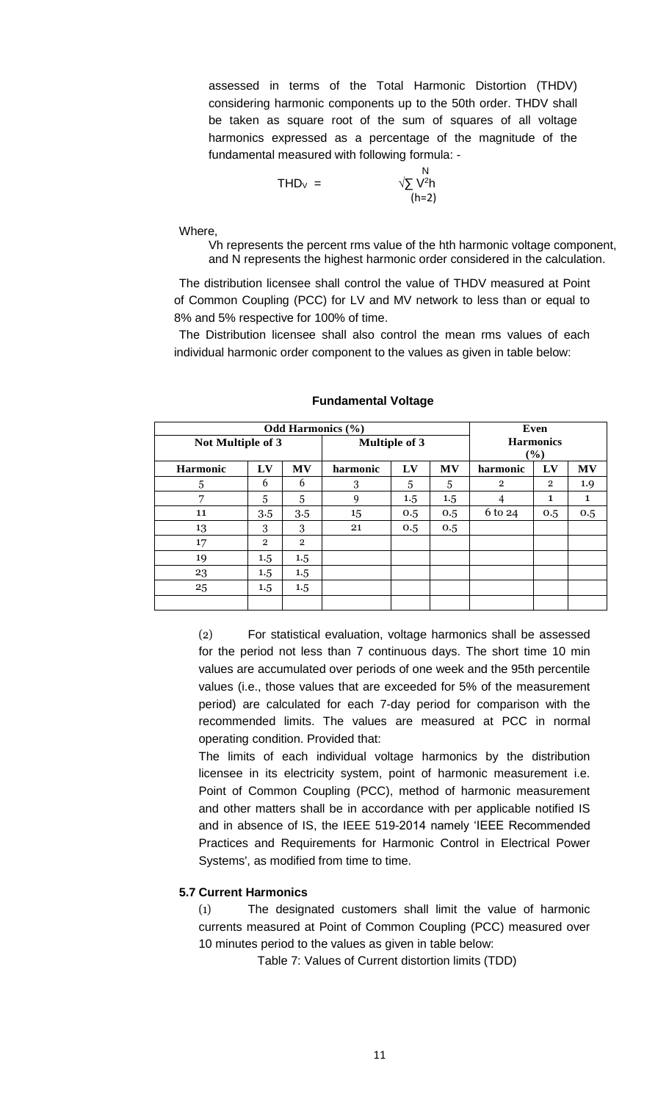assessed in terms of the Total Harmonic Distortion (THDV) considering harmonic components up to the 50th order. THDV shall be taken as square root of the sum of squares of all voltage harmonics expressed as a percentage of the magnitude of the fundamental measured with following formula: -

$$
\mathsf{THD}_{\vee} = \qquad \qquad \begin{array}{c} \mathsf{N} \\ \sqrt{\sum} \mathsf{V}^2 \mathsf{h} \\ \mathsf{(h=2)} \end{array}
$$

Where,

Vh represents the percent rms value of the hth harmonic voltage component, and N represents the highest harmonic order considered in the calculation.

The distribution licensee shall control the value of THDV measured at Point of Common Coupling (PCC) for LV and MV network to less than or equal to 8% and 5% respective for 100% of time.

The Distribution licensee shall also control the mean rms values of each individual harmonic order component to the values as given in table below:

|                   | Odd Harmonics $(\% )$ |                      |          |                            |           |                | Even           |              |
|-------------------|-----------------------|----------------------|----------|----------------------------|-----------|----------------|----------------|--------------|
| Not Multiple of 3 |                       | <b>Multiple of 3</b> |          | <b>Harmonics</b><br>$(\%)$ |           |                |                |              |
| <b>Harmonic</b>   | LV                    | <b>MV</b>            | harmonic | LV                         | <b>MV</b> | harmonic       | LV             | <b>MV</b>    |
| 5                 | 6                     | 6                    | 3        | 5                          | 5         | $\overline{2}$ | $\overline{2}$ | 1.9          |
| 7                 | 5                     | 5                    | 9        | $1.5\,$                    | 1.5       | 4              | 1              | $\mathbf{1}$ |
| 11                | 3.5                   | 3.5                  | 15       | 0.5                        | 0.5       | 6 to 24        | 0.5            | 0.5          |
| 13                | 3                     | 3                    | 21       | 0.5                        | 0.5       |                |                |              |
| 17                | $\overline{2}$        | $\overline{2}$       |          |                            |           |                |                |              |
| 19                | 1.5                   | 1.5                  |          |                            |           |                |                |              |
| 23                | 1.5                   | $1.5\,$              |          |                            |           |                |                |              |
| 25                | 1.5                   | 1.5                  |          |                            |           |                |                |              |
|                   |                       |                      |          |                            |           |                |                |              |

#### **Fundamental Voltage**

(2) For statistical evaluation, voltage harmonics shall be assessed for the period not less than 7 continuous days. The short time 10 min values are accumulated over periods of one week and the 95th percentile values (i.e., those values that are exceeded for 5% of the measurement period) are calculated for each 7-day period for comparison with the recommended limits. The values are measured at PCC in normal operating condition. Provided that:

The limits of each individual voltage harmonics by the distribution licensee in its electricity system, point of harmonic measurement i.e. Point of Common Coupling (PCC), method of harmonic measurement and other matters shall be in accordance with per applicable notified IS and in absence of IS, the IEEE 519-2014 namely 'IEEE Recommended Practices and Requirements for Harmonic Control in Electrical Power Systems', as modified from time to time.

### **5.7 Current Harmonics**

(1) The designated customers shall limit the value of harmonic currents measured at Point of Common Coupling (PCC) measured over 10 minutes period to the values as given in table below:

Table 7: Values of Current distortion limits (TDD)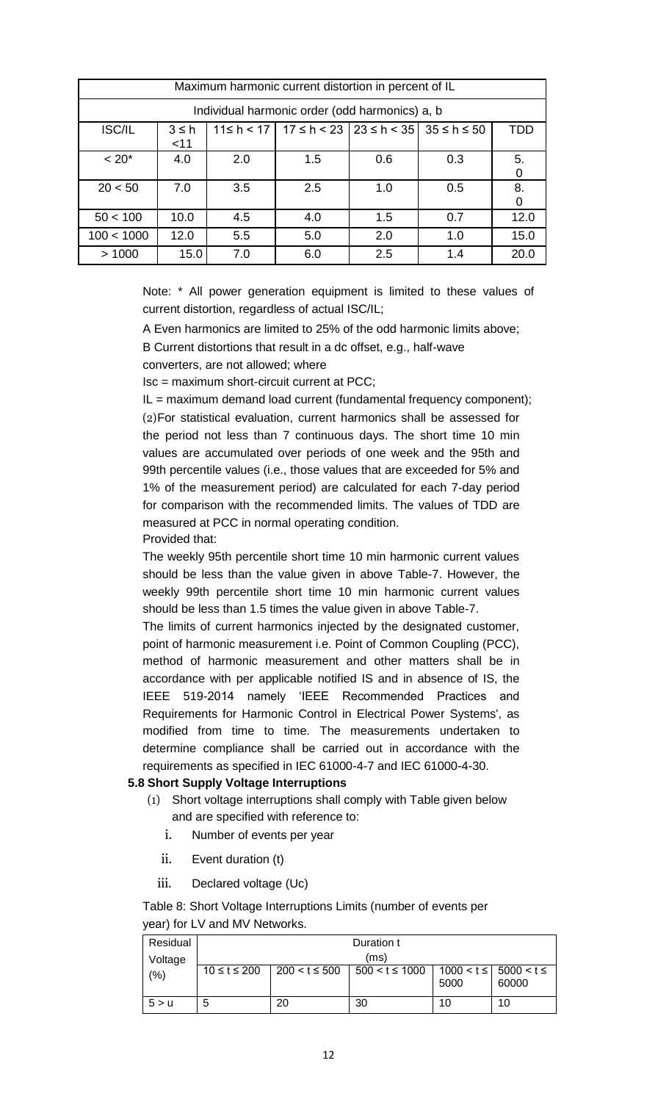|               | Maximum harmonic current distortion in percent of IL                                                                |     |                                                |     |     |      |  |
|---------------|---------------------------------------------------------------------------------------------------------------------|-----|------------------------------------------------|-----|-----|------|--|
|               |                                                                                                                     |     | Individual harmonic order (odd harmonics) a, b |     |     |      |  |
| <b>ISC/IL</b> | $11 \le h \le 17$   $17 \le h \le 23$   $23 \le h \le 35$   $35 \le h \le 50$<br><b>TDD</b><br>$3 \leq h$<br>$<$ 11 |     |                                                |     |     |      |  |
| $~< 20$ *     | 4.0                                                                                                                 | 2.0 | 1.5                                            | 0.6 | 0.3 | 5.   |  |
| 20 < 50       | 7.0                                                                                                                 | 3.5 | 2.5                                            | 1.0 | 0.5 | 8.   |  |
| 50 < 100      | 10.0                                                                                                                | 4.5 | 4.0                                            | 1.5 | 0.7 | 12.0 |  |
| 100 < 1000    | 12.0                                                                                                                | 5.5 | 5.0                                            | 2.0 | 1.0 | 15.0 |  |
| >1000         | 15.0                                                                                                                | 7.0 | 6.0                                            | 2.5 | 1.4 | 20.0 |  |

Note: \* All power generation equipment is limited to these values of current distortion, regardless of actual ISC/IL;

A Even harmonics are limited to 25% of the odd harmonic limits above;

B Current distortions that result in a dc offset, e.g., half-wave

converters, are not allowed; where

Isc = maximum short-circuit current at PCC;

 $IL = maximum$  demand load current (fundamental frequency component); (2)For statistical evaluation, current harmonics shall be assessed for the period not less than 7 continuous days. The short time 10 min values are accumulated over periods of one week and the 95th and 99th percentile values (i.e., those values that are exceeded for 5% and 1% of the measurement period) are calculated for each 7-day period for comparison with the recommended limits. The values of TDD are measured at PCC in normal operating condition.

Provided that:

The weekly 95th percentile short time 10 min harmonic current values should be less than the value given in above Table-7. However, the weekly 99th percentile short time 10 min harmonic current values should be less than 1.5 times the value given in above Table-7.

The limits of current harmonics injected by the designated customer, point of harmonic measurement i.e. Point of Common Coupling (PCC), method of harmonic measurement and other matters shall be in accordance with per applicable notified IS and in absence of IS, the IEEE 519-2014 namely 'IEEE Recommended Practices and Requirements for Harmonic Control in Electrical Power Systems', as modified from time to time. The measurements undertaken to determine compliance shall be carried out in accordance with the requirements as specified in IEC 61000-4-7 and IEC 61000-4-30.

# **5.8 Short Supply Voltage Interruptions**

- (1) Short voltage interruptions shall comply with Table given below and are specified with reference to:
	- i. Number of events per year
	- ii. Event duration (t)
	- iii. Declared voltage (Uc)

Table 8: Short Voltage Interruptions Limits (number of events per year) for LV and MV Networks.

| Residual |                    |                   | Duration t                                                                                                                                                                                                                        |      |       |  |
|----------|--------------------|-------------------|-----------------------------------------------------------------------------------------------------------------------------------------------------------------------------------------------------------------------------------|------|-------|--|
| Voltage  | (ms)               |                   |                                                                                                                                                                                                                                   |      |       |  |
| (%)      | $10 \le t \le 200$ | $200 < t \le 500$ | $500 < t \le 1000$   1000 < t \le square 5000 < t \le square 5000 < t \le square 5000 < t \le square 5000 < t \le square 5000 < t \le square 5000 < t \le square 5000 < t \le square 5000 < t \le square 5000 < t \le square 5000 | 5000 | 60000 |  |
| 5 > u    | b                  | 20                | 30                                                                                                                                                                                                                                | 10   | 10    |  |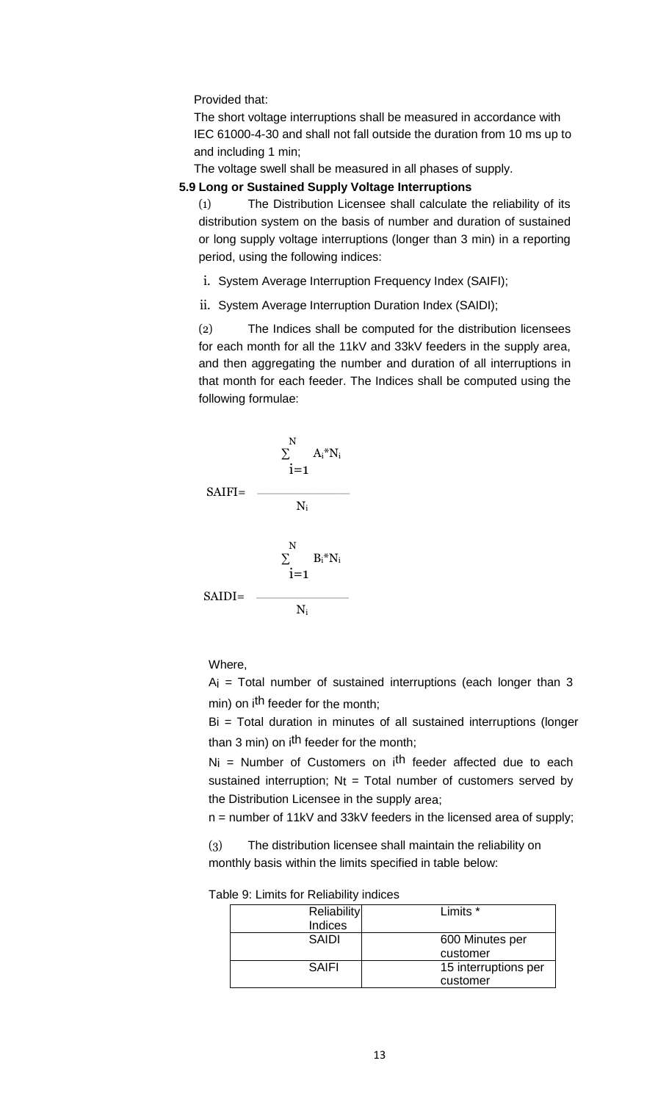Provided that:

The short voltage interruptions shall be measured in accordance with IEC 61000-4-30 and shall not fall outside the duration from 10 ms up to and including 1 min;

The voltage swell shall be measured in all phases of supply.

# **5.9 Long or Sustained Supply Voltage Interruptions**

(1) The Distribution Licensee shall calculate the reliability of its distribution system on the basis of number and duration of sustained or long supply voltage interruptions (longer than 3 min) in a reporting period, using the following indices:

- i. System Average Interruption Frequency Index (SAIFI);
- ii. System Average Interruption Duration Index (SAIDI);

(2) The Indices shall be computed for the distribution licensees for each month for all the 11kV and 33kV feeders in the supply area, and then aggregating the number and duration of all interruptions in that month for each feeder. The Indices shall be computed using the following formulae:



Where,

 $Ai = Total number of sustained interventions (each longer than 3)$ min) on i<sup>th</sup> feeder for the month;

Bi = Total duration in minutes of all sustained interruptions (longer than 3 min) on i<sup>th</sup> feeder for the month;

 $N_i$  = Number of Customers on  $i<sup>th</sup>$  feeder affected due to each sustained interruption;  $N_t$  = Total number of customers served by the Distribution Licensee in the supply area;

n = number of 11kV and 33kV feeders in the licensed area of supply;

(3) The distribution licensee shall maintain the reliability on monthly basis within the limits specified in table below:

| able 9. Limius for Reliability indices |                      |
|----------------------------------------|----------------------|
| <b>Reliability</b>                     | Limits *             |
| Indices                                |                      |
| <b>SAIDI</b>                           | 600 Minutes per      |
|                                        | customer             |
| SAIFI                                  | 15 interruptions per |
|                                        | customer             |

Table 9: Limits for Reliability indices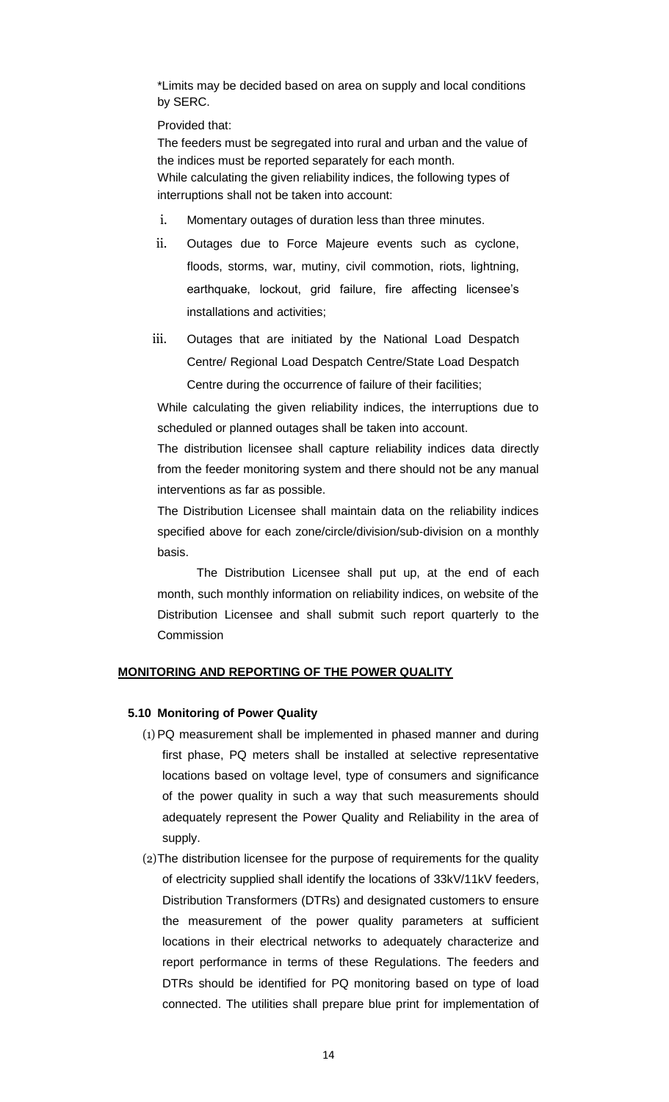\*Limits may be decided based on area on supply and local conditions by SERC.

Provided that:

The feeders must be segregated into rural and urban and the value of the indices must be reported separately for each month. While calculating the given reliability indices, the following types of interruptions shall not be taken into account:

- i. Momentary outages of duration less than three minutes.
- ii. Outages due to Force Majeure events such as cyclone, floods, storms, war, mutiny, civil commotion, riots, lightning, earthquake, lockout, grid failure, fire affecting licensee's installations and activities;
- iii. Outages that are initiated by the National Load Despatch Centre/ Regional Load Despatch Centre/State Load Despatch Centre during the occurrence of failure of their facilities;

While calculating the given reliability indices, the interruptions due to scheduled or planned outages shall be taken into account.

The distribution licensee shall capture reliability indices data directly from the feeder monitoring system and there should not be any manual interventions as far as possible.

The Distribution Licensee shall maintain data on the reliability indices specified above for each zone/circle/division/sub-division on a monthly basis.

The Distribution Licensee shall put up, at the end of each month, such monthly information on reliability indices, on website of the Distribution Licensee and shall submit such report quarterly to the **Commission** 

# **MONITORING AND REPORTING OF THE POWER QUALITY**

# **5.10 Monitoring of Power Quality**

- (1) PQ measurement shall be implemented in phased manner and during first phase, PQ meters shall be installed at selective representative locations based on voltage level, type of consumers and significance of the power quality in such a way that such measurements should adequately represent the Power Quality and Reliability in the area of supply.
- (2)The distribution licensee for the purpose of requirements for the quality of electricity supplied shall identify the locations of 33kV/11kV feeders, Distribution Transformers (DTRs) and designated customers to ensure the measurement of the power quality parameters at sufficient locations in their electrical networks to adequately characterize and report performance in terms of these Regulations. The feeders and DTRs should be identified for PQ monitoring based on type of load connected. The utilities shall prepare blue print for implementation of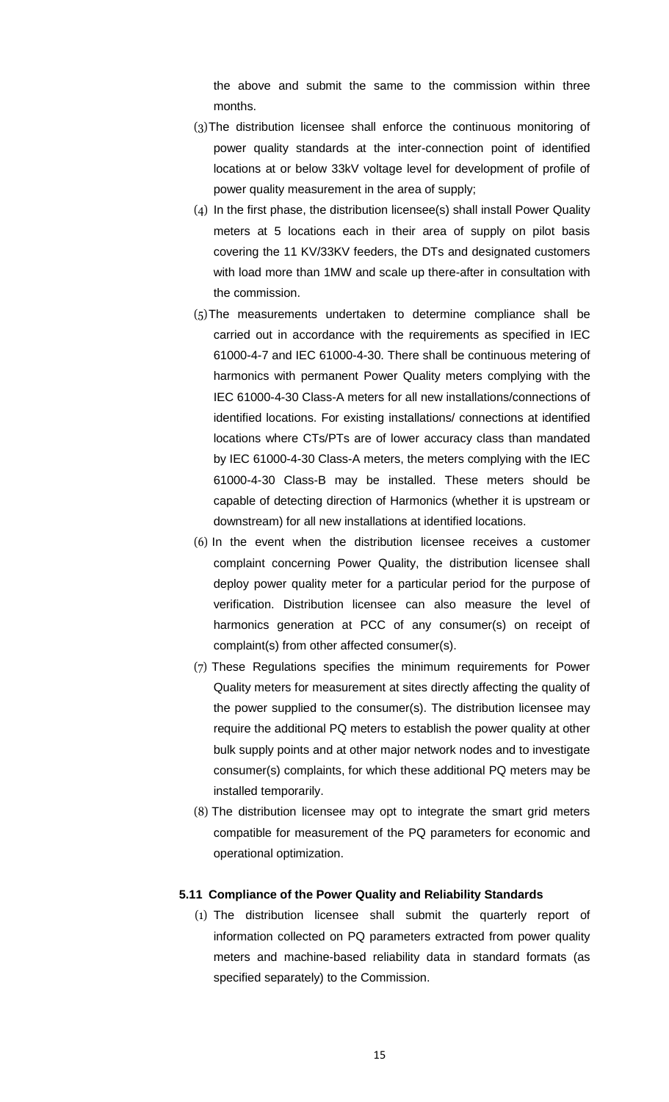the above and submit the same to the commission within three months.

- (3)The distribution licensee shall enforce the continuous monitoring of power quality standards at the inter-connection point of identified locations at or below 33kV voltage level for development of profile of power quality measurement in the area of supply;
- (4) In the first phase, the distribution licensee(s) shall install Power Quality meters at 5 locations each in their area of supply on pilot basis covering the 11 KV/33KV feeders, the DTs and designated customers with load more than 1MW and scale up there-after in consultation with the commission.
- (5)The measurements undertaken to determine compliance shall be carried out in accordance with the requirements as specified in IEC 61000-4-7 and IEC 61000-4-30. There shall be continuous metering of harmonics with permanent Power Quality meters complying with the IEC 61000-4-30 Class-A meters for all new installations/connections of identified locations. For existing installations/ connections at identified locations where CTs/PTs are of lower accuracy class than mandated by IEC 61000-4-30 Class-A meters, the meters complying with the IEC 61000-4-30 Class-B may be installed. These meters should be capable of detecting direction of Harmonics (whether it is upstream or downstream) for all new installations at identified locations.
- (6) In the event when the distribution licensee receives a customer complaint concerning Power Quality, the distribution licensee shall deploy power quality meter for a particular period for the purpose of verification. Distribution licensee can also measure the level of harmonics generation at PCC of any consumer(s) on receipt of complaint(s) from other affected consumer(s).
- (7) These Regulations specifies the minimum requirements for Power Quality meters for measurement at sites directly affecting the quality of the power supplied to the consumer(s). The distribution licensee may require the additional PQ meters to establish the power quality at other bulk supply points and at other major network nodes and to investigate consumer(s) complaints, for which these additional PQ meters may be installed temporarily.
- (8) The distribution licensee may opt to integrate the smart grid meters compatible for measurement of the PQ parameters for economic and operational optimization.

### **5.11 Compliance of the Power Quality and Reliability Standards**

(1) The distribution licensee shall submit the quarterly report of information collected on PQ parameters extracted from power quality meters and machine-based reliability data in standard formats (as specified separately) to the Commission.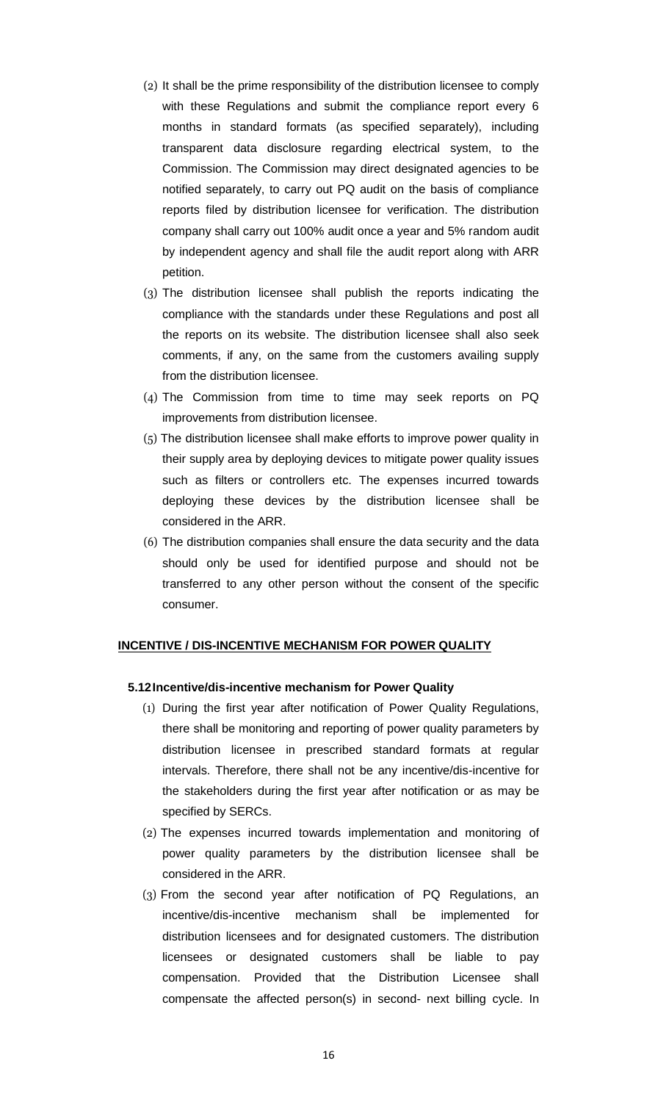- (2) It shall be the prime responsibility of the distribution licensee to comply with these Regulations and submit the compliance report every 6 months in standard formats (as specified separately), including transparent data disclosure regarding electrical system, to the Commission. The Commission may direct designated agencies to be notified separately, to carry out PQ audit on the basis of compliance reports filed by distribution licensee for verification. The distribution company shall carry out 100% audit once a year and 5% random audit by independent agency and shall file the audit report along with ARR petition.
- (3) The distribution licensee shall publish the reports indicating the compliance with the standards under these Regulations and post all the reports on its website. The distribution licensee shall also seek comments, if any, on the same from the customers availing supply from the distribution licensee.
- (4) The Commission from time to time may seek reports on PQ improvements from distribution licensee.
- (5) The distribution licensee shall make efforts to improve power quality in their supply area by deploying devices to mitigate power quality issues such as filters or controllers etc. The expenses incurred towards deploying these devices by the distribution licensee shall be considered in the ARR.
- (6) The distribution companies shall ensure the data security and the data should only be used for identified purpose and should not be transferred to any other person without the consent of the specific consumer.

#### **INCENTIVE / DIS-INCENTIVE MECHANISM FOR POWER QUALITY**

#### **5.12Incentive/dis-incentive mechanism for Power Quality**

- (1) During the first year after notification of Power Quality Regulations, there shall be monitoring and reporting of power quality parameters by distribution licensee in prescribed standard formats at regular intervals. Therefore, there shall not be any incentive/dis-incentive for the stakeholders during the first year after notification or as may be specified by SERCs.
- (2) The expenses incurred towards implementation and monitoring of power quality parameters by the distribution licensee shall be considered in the ARR.
- (3) From the second year after notification of PQ Regulations, an incentive/dis-incentive mechanism shall be implemented for distribution licensees and for designated customers. The distribution licensees or designated customers shall be liable to pay compensation. Provided that the Distribution Licensee shall compensate the affected person(s) in second- next billing cycle. In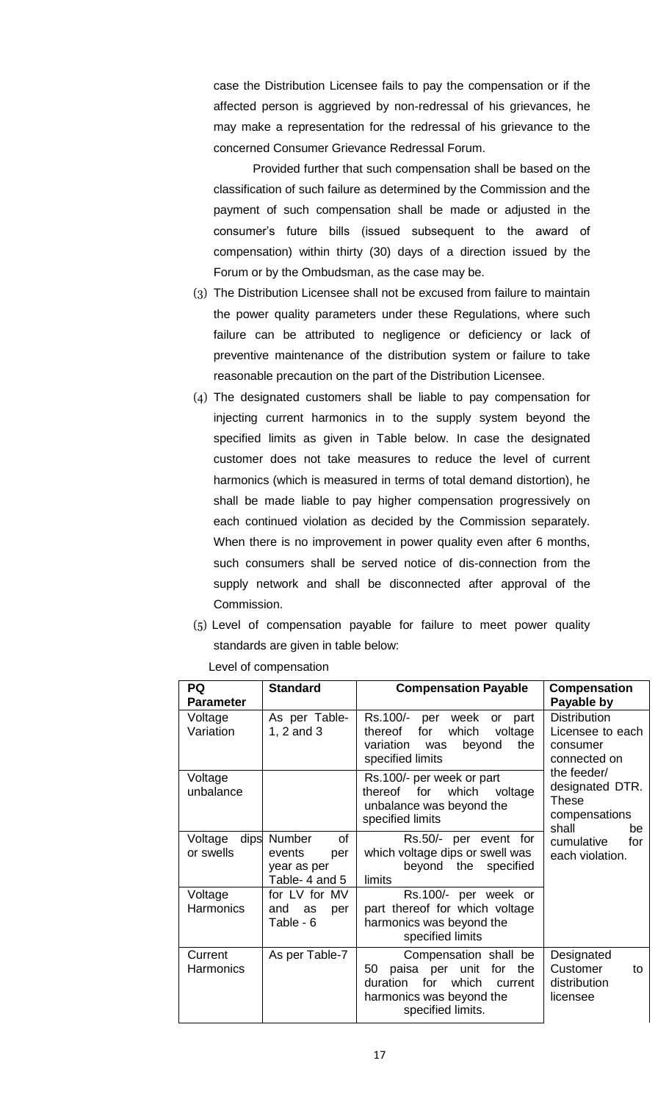case the Distribution Licensee fails to pay the compensation or if the affected person is aggrieved by non-redressal of his grievances, he may make a representation for the redressal of his grievance to the concerned Consumer Grievance Redressal Forum.

Provided further that such compensation shall be based on the classification of such failure as determined by the Commission and the payment of such compensation shall be made or adjusted in the consumer's future bills (issued subsequent to the award of compensation) within thirty (30) days of a direction issued by the Forum or by the Ombudsman, as the case may be.

- (3) The Distribution Licensee shall not be excused from failure to maintain the power quality parameters under these Regulations, where such failure can be attributed to negligence or deficiency or lack of preventive maintenance of the distribution system or failure to take reasonable precaution on the part of the Distribution Licensee.
- (4) The designated customers shall be liable to pay compensation for injecting current harmonics in to the supply system beyond the specified limits as given in Table below. In case the designated customer does not take measures to reduce the level of current harmonics (which is measured in terms of total demand distortion), he shall be made liable to pay higher compensation progressively on each continued violation as decided by the Commission separately. When there is no improvement in power quality even after 6 months, such consumers shall be served notice of dis-connection from the supply network and shall be disconnected after approval of the Commission.
- (5) Level of compensation payable for failure to meet power quality standards are given in table below:

Level of compensation

| PQ<br><b>Parameter</b>       | <b>Standard</b>                                                | <b>Compensation Payable</b>                                                                                                                         | <b>Compensation</b><br>Payable by                                              |
|------------------------------|----------------------------------------------------------------|-----------------------------------------------------------------------------------------------------------------------------------------------------|--------------------------------------------------------------------------------|
| Voltage<br>Variation         | As per Table-<br>1, $2$ and $3$                                | Rs.100/- per week<br>part<br><b>or</b><br>which<br>thereof<br>for<br>voltage<br>variation<br>the<br>beyond<br>was<br>specified limits               | <b>Distribution</b><br>Licensee to each<br>consumer<br>connected on            |
| Voltage<br>unbalance         |                                                                | Rs.100/- per week or part<br>which<br>thereof for<br>voltage<br>unbalance was beyond the<br>specified limits                                        | the feeder/<br>designated DTR.<br><b>These</b><br>compensations<br>shall<br>be |
| dips<br>Voltage<br>or swells | of<br>Number<br>events<br>per<br>year as per<br>Table- 4 and 5 | Rs.50/- per event for<br>which voltage dips or swell was<br>beyond the specified<br>limits                                                          | cumulative<br>for<br>each violation.                                           |
| Voltage<br><b>Harmonics</b>  | for LV for MV<br>and<br>as<br>per<br>Table - 6                 | Rs.100/- per week or<br>part thereof for which voltage<br>harmonics was beyond the<br>specified limits                                              |                                                                                |
| Current<br><b>Harmonics</b>  | As per Table-7                                                 | Compensation shall be<br>paisa per unit<br>for<br>50<br>the<br>for<br>which<br>duration<br>current<br>harmonics was beyond the<br>specified limits. | Designated<br>Customer<br>to<br>distribution<br>licensee                       |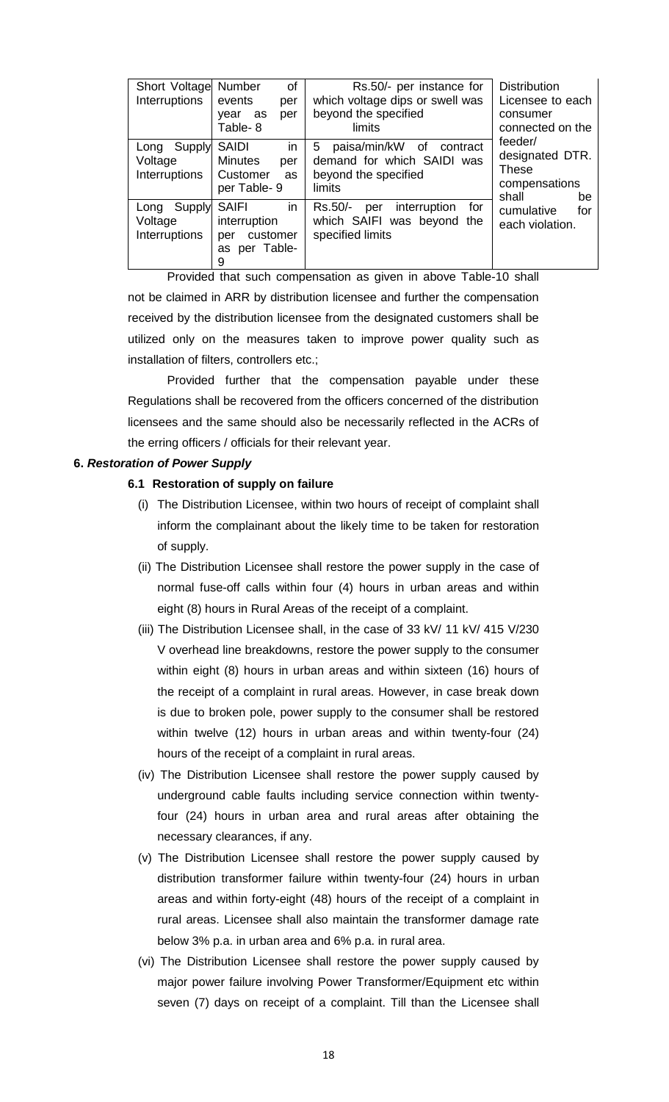| Short Voltage Number<br>Interruptions      | of<br>events<br>per<br>as<br>year<br>per<br>Table-8                            | Rs.50/- per instance for<br>which voltage dips or swell was<br>beyond the specified<br>limits    | <b>Distribution</b><br>Licensee to each<br>consumer<br>connected on the    |
|--------------------------------------------|--------------------------------------------------------------------------------|--------------------------------------------------------------------------------------------------|----------------------------------------------------------------------------|
| Supply<br>Long<br>Voltage<br>Interruptions | in<br><b>SAIDI</b><br><b>Minutes</b><br>per<br>Customer<br>as<br>per Table-9   | 5<br>paisa/min/kW of<br>contract<br>demand for which SAIDI was<br>beyond the specified<br>limits | feeder/<br>designated DTR.<br><b>These</b><br>compensations<br>shall<br>be |
| Supply<br>Long<br>Voltage<br>Interruptions | in<br><b>SAIFI</b><br>interruption<br>customer<br>per<br>per Table-<br>as<br>9 | interruption<br>Rs.50/-<br>for<br>per<br>which SAIFI was beyond the<br>specified limits          | cumulative<br>for<br>each violation.                                       |

Provided that such compensation as given in above Table-10 shall not be claimed in ARR by distribution licensee and further the compensation received by the distribution licensee from the designated customers shall be utilized only on the measures taken to improve power quality such as installation of filters, controllers etc.;

Provided further that the compensation payable under these Regulations shall be recovered from the officers concerned of the distribution licensees and the same should also be necessarily reflected in the ACRs of the erring officers / officials for their relevant year.

# **6.** *Restoration of Power Supply*

### **6.1 Restoration of supply on failure**

- (i) The Distribution Licensee, within two hours of receipt of complaint shall inform the complainant about the likely time to be taken for restoration of supply.
- (ii) The Distribution Licensee shall restore the power supply in the case of normal fuse-off calls within four (4) hours in urban areas and within eight (8) hours in Rural Areas of the receipt of a complaint.
- (iii) The Distribution Licensee shall, in the case of 33 kV/ 11 kV/ 415 V/230 V overhead line breakdowns, restore the power supply to the consumer within eight (8) hours in urban areas and within sixteen (16) hours of the receipt of a complaint in rural areas. However, in case break down is due to broken pole, power supply to the consumer shall be restored within twelve (12) hours in urban areas and within twenty-four (24) hours of the receipt of a complaint in rural areas.
- (iv) The Distribution Licensee shall restore the power supply caused by underground cable faults including service connection within twentyfour (24) hours in urban area and rural areas after obtaining the necessary clearances, if any.
- (v) The Distribution Licensee shall restore the power supply caused by distribution transformer failure within twenty-four (24) hours in urban areas and within forty-eight (48) hours of the receipt of a complaint in rural areas. Licensee shall also maintain the transformer damage rate below 3% p.a. in urban area and 6% p.a. in rural area.
- (vi) The Distribution Licensee shall restore the power supply caused by major power failure involving Power Transformer/Equipment etc within seven (7) days on receipt of a complaint. Till than the Licensee shall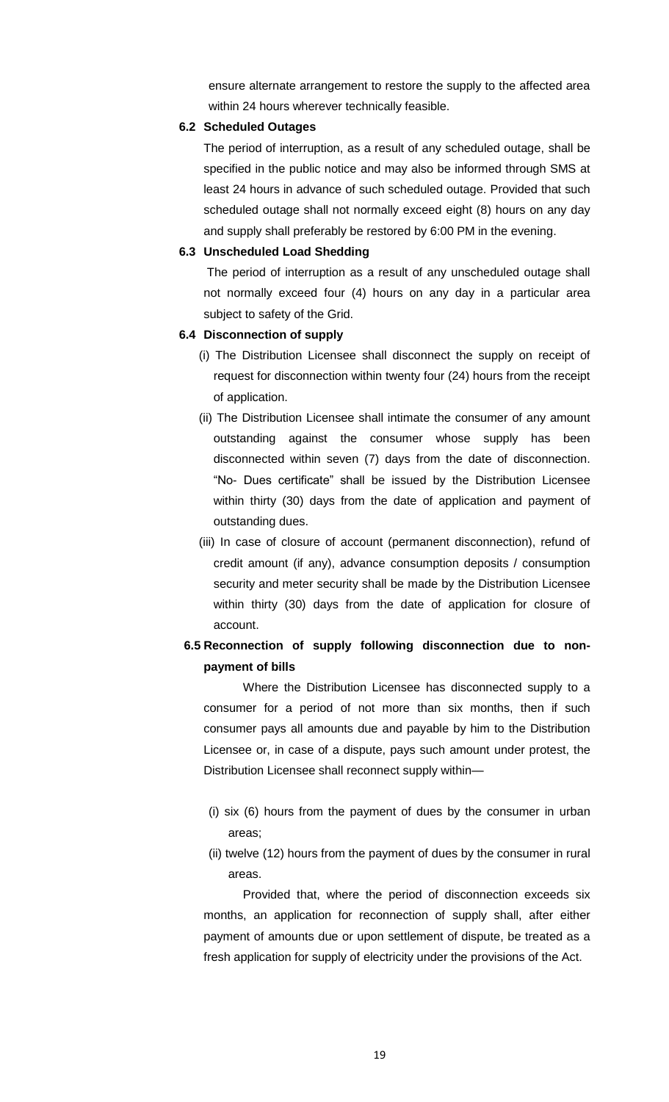ensure alternate arrangement to restore the supply to the affected area within 24 hours wherever technically feasible.

### **6.2 Scheduled Outages**

 The period of interruption, as a result of any scheduled outage, shall be specified in the public notice and may also be informed through SMS at least 24 hours in advance of such scheduled outage. Provided that such scheduled outage shall not normally exceed eight (8) hours on any day and supply shall preferably be restored by 6:00 PM in the evening.

# **6.3 Unscheduled Load Shedding**

 The period of interruption as a result of any unscheduled outage shall not normally exceed four (4) hours on any day in a particular area subject to safety of the Grid.

# **6.4 Disconnection of supply**

- (i) The Distribution Licensee shall disconnect the supply on receipt of request for disconnection within twenty four (24) hours from the receipt of application.
- (ii) The Distribution Licensee shall intimate the consumer of any amount outstanding against the consumer whose supply has been disconnected within seven (7) days from the date of disconnection. "No- Dues certificate" shall be issued by the Distribution Licensee within thirty (30) days from the date of application and payment of outstanding dues.
- (iii) In case of closure of account (permanent disconnection), refund of credit amount (if any), advance consumption deposits / consumption security and meter security shall be made by the Distribution Licensee within thirty (30) days from the date of application for closure of account.

# **6.5 Reconnection of supply following disconnection due to nonpayment of bills**

Where the Distribution Licensee has disconnected supply to a consumer for a period of not more than six months, then if such consumer pays all amounts due and payable by him to the Distribution Licensee or, in case of a dispute, pays such amount under protest, the Distribution Licensee shall reconnect supply within—

- (i) six (6) hours from the payment of dues by the consumer in urban areas;
- (ii) twelve (12) hours from the payment of dues by the consumer in rural areas.

Provided that, where the period of disconnection exceeds six months, an application for reconnection of supply shall, after either payment of amounts due or upon settlement of dispute, be treated as a fresh application for supply of electricity under the provisions of the Act.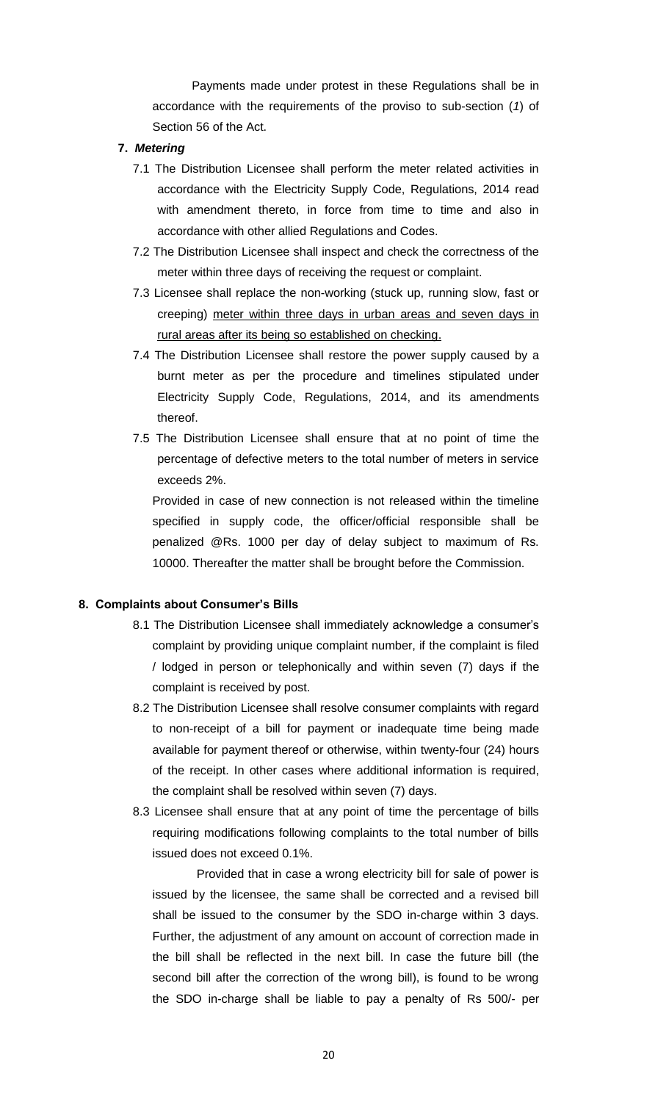Payments made under protest in these Regulations shall be in accordance with the requirements of the proviso to sub-section (*1*) of Section 56 of the Act.

# **7.** *Metering*

- 7.1 The Distribution Licensee shall perform the meter related activities in accordance with the Electricity Supply Code, Regulations, 2014 read with amendment thereto, in force from time to time and also in accordance with other allied Regulations and Codes.
- 7.2 The Distribution Licensee shall inspect and check the correctness of the meter within three days of receiving the request or complaint.
- 7.3 Licensee shall replace the non-working (stuck up, running slow, fast or creeping) meter within three days in urban areas and seven days in rural areas after its being so established on checking.
- 7.4 The Distribution Licensee shall restore the power supply caused by a burnt meter as per the procedure and timelines stipulated under Electricity Supply Code, Regulations, 2014, and its amendments thereof.
- 7.5 The Distribution Licensee shall ensure that at no point of time the percentage of defective meters to the total number of meters in service exceeds 2%.

Provided in case of new connection is not released within the timeline specified in supply code, the officer/official responsible shall be penalized @Rs. 1000 per day of delay subject to maximum of Rs. 10000. Thereafter the matter shall be brought before the Commission.

#### **8. Complaints about Consumer's Bills**

- 8.1 The Distribution Licensee shall immediately acknowledge a consumer's complaint by providing unique complaint number, if the complaint is filed / lodged in person or telephonically and within seven (7) days if the complaint is received by post.
- 8.2 The Distribution Licensee shall resolve consumer complaints with regard to non-receipt of a bill for payment or inadequate time being made available for payment thereof or otherwise, within twenty-four (24) hours of the receipt. In other cases where additional information is required, the complaint shall be resolved within seven (7) days.
- 8.3 Licensee shall ensure that at any point of time the percentage of bills requiring modifications following complaints to the total number of bills issued does not exceed 0.1%.

Provided that in case a wrong electricity bill for sale of power is issued by the licensee, the same shall be corrected and a revised bill shall be issued to the consumer by the SDO in-charge within 3 days. Further, the adjustment of any amount on account of correction made in the bill shall be reflected in the next bill. In case the future bill (the second bill after the correction of the wrong bill), is found to be wrong the SDO in-charge shall be liable to pay a penalty of Rs 500/- per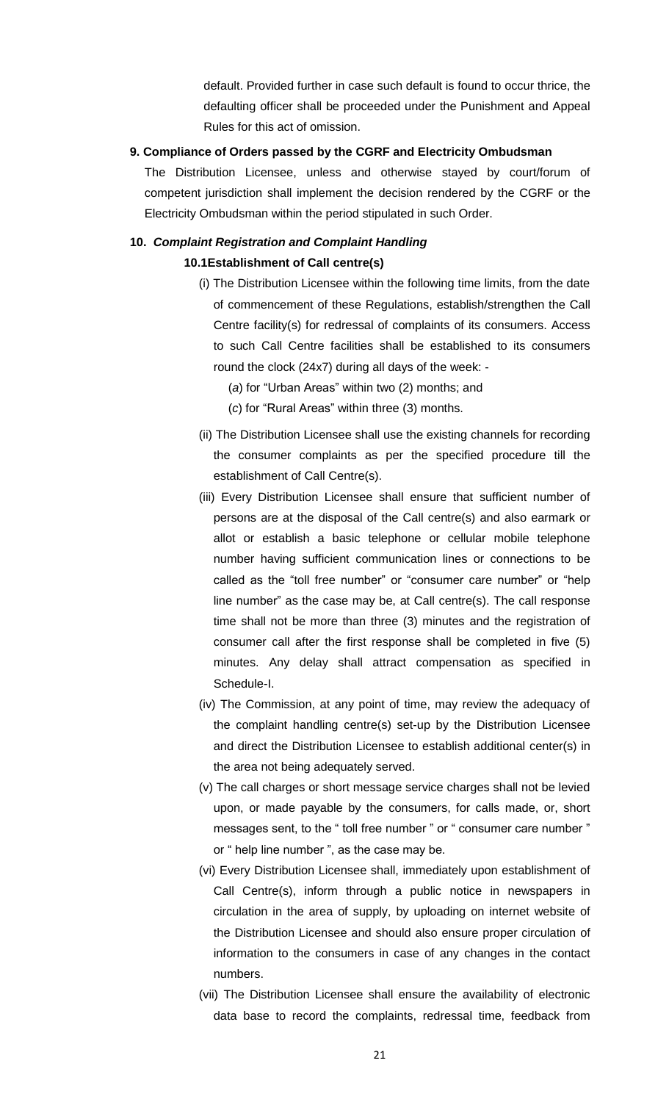default. Provided further in case such default is found to occur thrice, the defaulting officer shall be proceeded under the Punishment and Appeal Rules for this act of omission.

# **9. Compliance of Orders passed by the CGRF and Electricity Ombudsman**

The Distribution Licensee, unless and otherwise stayed by court/forum of competent jurisdiction shall implement the decision rendered by the CGRF or the Electricity Ombudsman within the period stipulated in such Order.

# **10.** *Complaint Registration and Complaint Handling* **10.1Establishment of Call centre(s)**

- (i) The Distribution Licensee within the following time limits, from the date of commencement of these Regulations, establish/strengthen the Call Centre facility(s) for redressal of complaints of its consumers. Access to such Call Centre facilities shall be established to its consumers round the clock (24x7) during all days of the week: -
	- (*a*) for "Urban Areas" within two (2) months; and
	- (*c*) for "Rural Areas" within three (3) months.
- (ii) The Distribution Licensee shall use the existing channels for recording the consumer complaints as per the specified procedure till the establishment of Call Centre(s).
- (iii) Every Distribution Licensee shall ensure that sufficient number of persons are at the disposal of the Call centre(s) and also earmark or allot or establish a basic telephone or cellular mobile telephone number having sufficient communication lines or connections to be called as the "toll free number" or "consumer care number" or "help line number" as the case may be, at Call centre(s). The call response time shall not be more than three (3) minutes and the registration of consumer call after the first response shall be completed in five (5) minutes. Any delay shall attract compensation as specified in Schedule-I.
- (iv) The Commission, at any point of time, may review the adequacy of the complaint handling centre(s) set-up by the Distribution Licensee and direct the Distribution Licensee to establish additional center(s) in the area not being adequately served.
- (v) The call charges or short message service charges shall not be levied upon, or made payable by the consumers, for calls made, or, short messages sent, to the " toll free number " or " consumer care number " or " help line number ", as the case may be.
- (vi) Every Distribution Licensee shall, immediately upon establishment of Call Centre(s), inform through a public notice in newspapers in circulation in the area of supply, by uploading on internet website of the Distribution Licensee and should also ensure proper circulation of information to the consumers in case of any changes in the contact numbers.
- (vii) The Distribution Licensee shall ensure the availability of electronic data base to record the complaints, redressal time, feedback from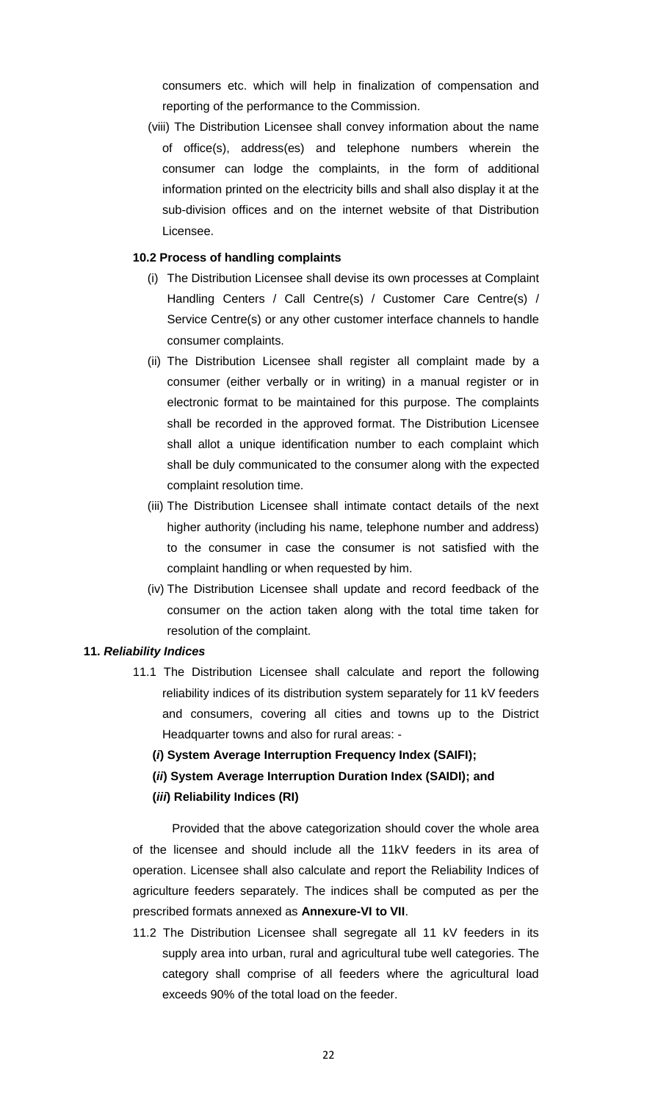consumers etc. which will help in finalization of compensation and reporting of the performance to the Commission.

 (viii) The Distribution Licensee shall convey information about the name of office(s), address(es) and telephone numbers wherein the consumer can lodge the complaints, in the form of additional information printed on the electricity bills and shall also display it at the sub-division offices and on the internet website of that Distribution Licensee.

## **10.2 Process of handling complaints**

- (i) The Distribution Licensee shall devise its own processes at Complaint Handling Centers / Call Centre(s) / Customer Care Centre(s) / Service Centre(s) or any other customer interface channels to handle consumer complaints.
- (ii) The Distribution Licensee shall register all complaint made by a consumer (either verbally or in writing) in a manual register or in electronic format to be maintained for this purpose. The complaints shall be recorded in the approved format. The Distribution Licensee shall allot a unique identification number to each complaint which shall be duly communicated to the consumer along with the expected complaint resolution time.
- (iii) The Distribution Licensee shall intimate contact details of the next higher authority (including his name, telephone number and address) to the consumer in case the consumer is not satisfied with the complaint handling or when requested by him.
- (iv) The Distribution Licensee shall update and record feedback of the consumer on the action taken along with the total time taken for resolution of the complaint.

#### **11.** *Reliability Indices*

- 11.1 The Distribution Licensee shall calculate and report the following reliability indices of its distribution system separately for 11 kV feeders and consumers, covering all cities and towns up to the District Headquarter towns and also for rural areas: -
	- **(***i***) System Average Interruption Frequency Index (SAIFI);**
	- **(***ii***) System Average Interruption Duration Index (SAIDI); and**

# **(***iii***) Reliability Indices (RI)**

Provided that the above categorization should cover the whole area of the licensee and should include all the 11kV feeders in its area of operation. Licensee shall also calculate and report the Reliability Indices of agriculture feeders separately. The indices shall be computed as per the prescribed formats annexed as **Annexure-VI to VII**.

11.2 The Distribution Licensee shall segregate all 11 kV feeders in its supply area into urban, rural and agricultural tube well categories. The category shall comprise of all feeders where the agricultural load exceeds 90% of the total load on the feeder.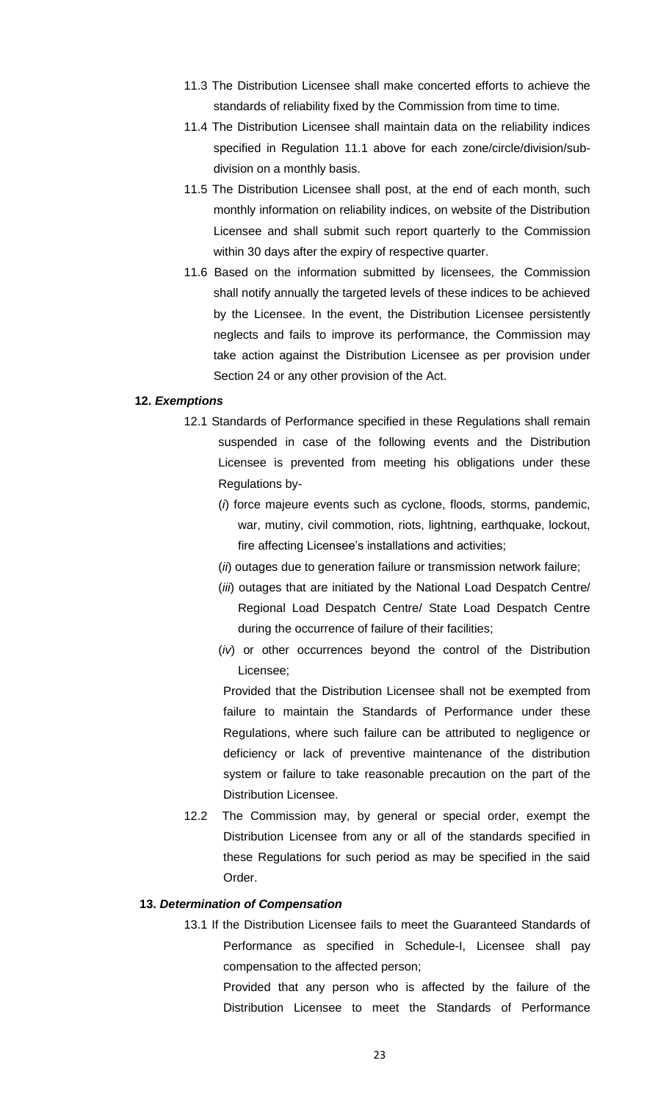- 11.3 The Distribution Licensee shall make concerted efforts to achieve the standards of reliability fixed by the Commission from time to time.
- 11.4 The Distribution Licensee shall maintain data on the reliability indices specified in Regulation 11.1 above for each zone/circle/division/subdivision on a monthly basis.
- 11.5 The Distribution Licensee shall post, at the end of each month, such monthly information on reliability indices, on website of the Distribution Licensee and shall submit such report quarterly to the Commission within 30 days after the expiry of respective quarter.
- 11.6 Based on the information submitted by licensees, the Commission shall notify annually the targeted levels of these indices to be achieved by the Licensee. In the event, the Distribution Licensee persistently neglects and fails to improve its performance, the Commission may take action against the Distribution Licensee as per provision under Section 24 or any other provision of the Act.

#### **12.** *Exemptions*

- 12.1 Standards of Performance specified in these Regulations shall remain suspended in case of the following events and the Distribution Licensee is prevented from meeting his obligations under these Regulations by-
	- (*i*) force majeure events such as cyclone, floods, storms, pandemic, war, mutiny, civil commotion, riots, lightning, earthquake, lockout, fire affecting Licensee's installations and activities;
	- (*ii*) outages due to generation failure or transmission network failure;
	- (*iii*) outages that are initiated by the National Load Despatch Centre/ Regional Load Despatch Centre/ State Load Despatch Centre during the occurrence of failure of their facilities;
	- (*iv*) or other occurrences beyond the control of the Distribution Licensee;

Provided that the Distribution Licensee shall not be exempted from failure to maintain the Standards of Performance under these Regulations, where such failure can be attributed to negligence or deficiency or lack of preventive maintenance of the distribution system or failure to take reasonable precaution on the part of the Distribution Licensee.

12.2 The Commission may, by general or special order, exempt the Distribution Licensee from any or all of the standards specified in these Regulations for such period as may be specified in the said Order.

#### **13.** *Determination of Compensation*

13.1 If the Distribution Licensee fails to meet the Guaranteed Standards of Performance as specified in Schedule-I, Licensee shall pay compensation to the affected person;

Provided that any person who is affected by the failure of the Distribution Licensee to meet the Standards of Performance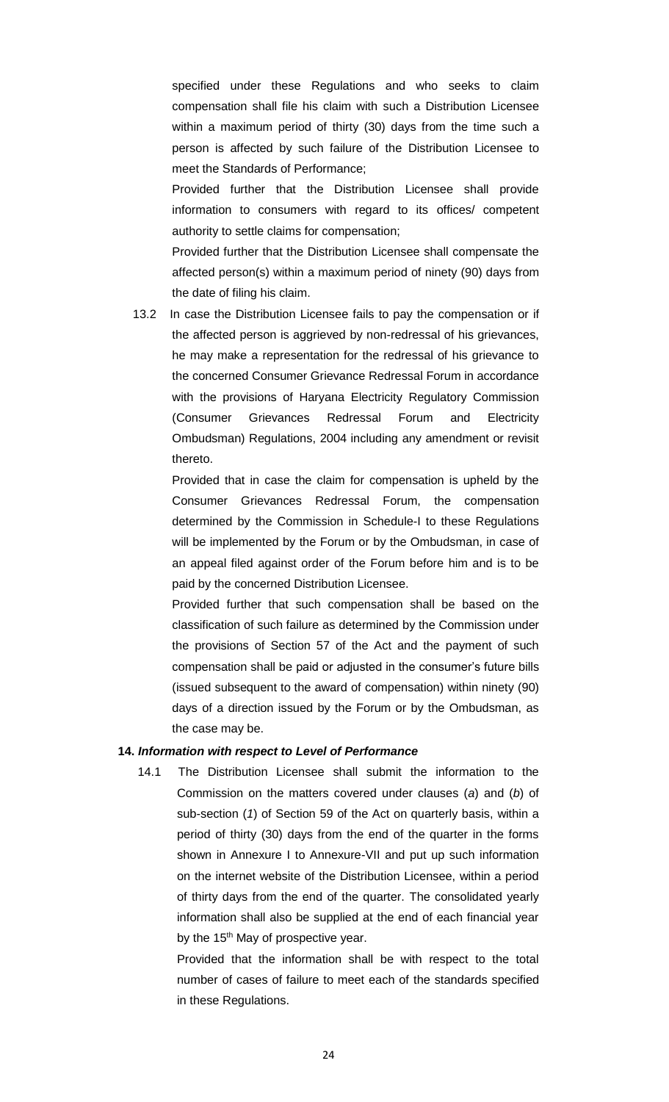specified under these Regulations and who seeks to claim compensation shall file his claim with such a Distribution Licensee within a maximum period of thirty (30) days from the time such a person is affected by such failure of the Distribution Licensee to meet the Standards of Performance;

Provided further that the Distribution Licensee shall provide information to consumers with regard to its offices/ competent authority to settle claims for compensation;

Provided further that the Distribution Licensee shall compensate the affected person(s) within a maximum period of ninety (90) days from the date of filing his claim.

13.2 In case the Distribution Licensee fails to pay the compensation or if the affected person is aggrieved by non-redressal of his grievances, he may make a representation for the redressal of his grievance to the concerned Consumer Grievance Redressal Forum in accordance with the provisions of Haryana Electricity Regulatory Commission (Consumer Grievances Redressal Forum and Electricity Ombudsman) Regulations, 2004 including any amendment or revisit thereto.

Provided that in case the claim for compensation is upheld by the Consumer Grievances Redressal Forum, the compensation determined by the Commission in Schedule-I to these Regulations will be implemented by the Forum or by the Ombudsman, in case of an appeal filed against order of the Forum before him and is to be paid by the concerned Distribution Licensee.

Provided further that such compensation shall be based on the classification of such failure as determined by the Commission under the provisions of Section 57 of the Act and the payment of such compensation shall be paid or adjusted in the consumer's future bills (issued subsequent to the award of compensation) within ninety (90) days of a direction issued by the Forum or by the Ombudsman, as the case may be.

#### **14.** *Information with respect to Level of Performance*

14.1 The Distribution Licensee shall submit the information to the Commission on the matters covered under clauses (*a*) and (*b*) of sub-section (*1*) of Section 59 of the Act on quarterly basis, within a period of thirty (30) days from the end of the quarter in the forms shown in Annexure I to Annexure-VII and put up such information on the internet website of the Distribution Licensee, within a period of thirty days from the end of the quarter. The consolidated yearly information shall also be supplied at the end of each financial year by the 15<sup>th</sup> May of prospective year.

Provided that the information shall be with respect to the total number of cases of failure to meet each of the standards specified in these Regulations.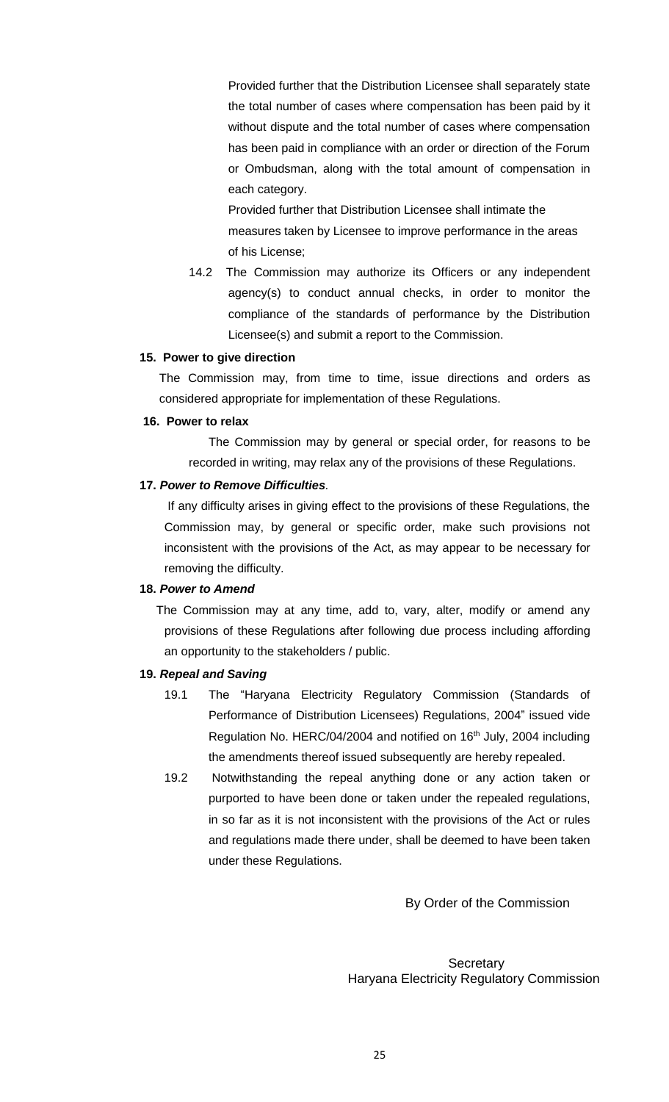Provided further that the Distribution Licensee shall separately state the total number of cases where compensation has been paid by it without dispute and the total number of cases where compensation has been paid in compliance with an order or direction of the Forum or Ombudsman, along with the total amount of compensation in each category.

Provided further that Distribution Licensee shall intimate the measures taken by Licensee to improve performance in the areas of his License;

14.2 The Commission may authorize its Officers or any independent agency(s) to conduct annual checks, in order to monitor the compliance of the standards of performance by the Distribution Licensee(s) and submit a report to the Commission.

### **15. Power to give direction**

The Commission may, from time to time, issue directions and orders as considered appropriate for implementation of these Regulations.

### **16. Power to relax**

The Commission may by general or special order, for reasons to be recorded in writing, may relax any of the provisions of these Regulations.

### **17.** *Power to Remove Difficulties.*

 If any difficulty arises in giving effect to the provisions of these Regulations, the Commission may, by general or specific order, make such provisions not inconsistent with the provisions of the Act, as may appear to be necessary for removing the difficulty.

# **18.** *Power to Amend*

 The Commission may at any time, add to, vary, alter, modify or amend any provisions of these Regulations after following due process including affording an opportunity to the stakeholders / public.

# **19.** *Repeal and Saving*

- 19.1 The "Haryana Electricity Regulatory Commission (Standards of Performance of Distribution Licensees) Regulations, 2004" issued vide Regulation No. HERC/04/2004 and notified on 16<sup>th</sup> July, 2004 including the amendments thereof issued subsequently are hereby repealed.
- 19.2 Notwithstanding the repeal anything done or any action taken or purported to have been done or taken under the repealed regulations, in so far as it is not inconsistent with the provisions of the Act or rules and regulations made there under, shall be deemed to have been taken under these Regulations.

By Order of the Commission

**Secretary** Haryana Electricity Regulatory Commission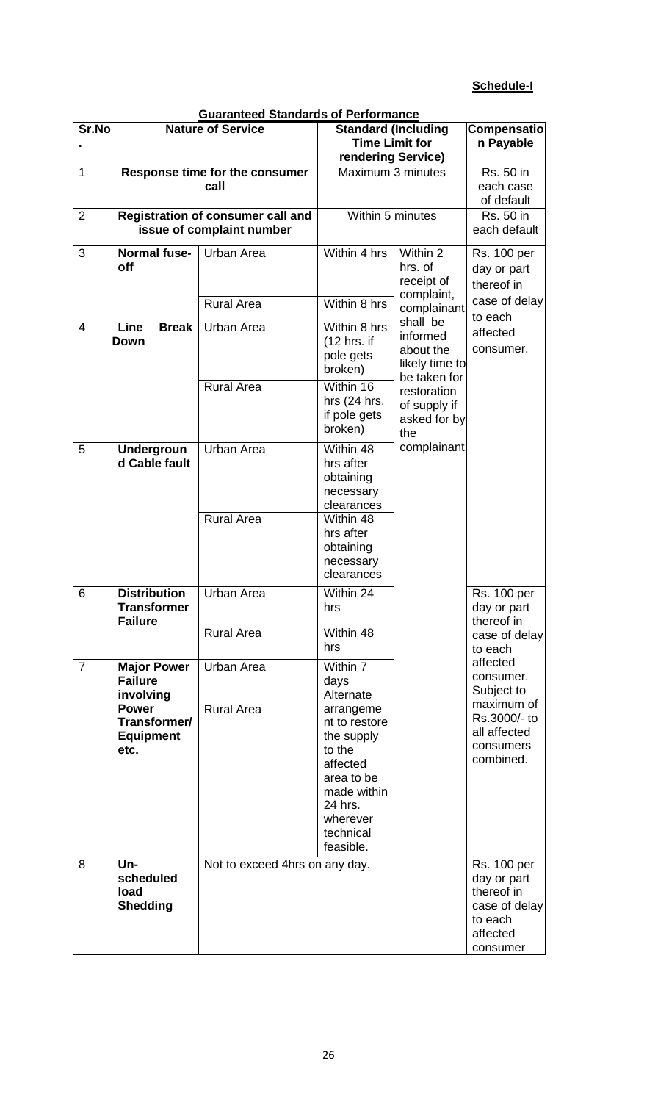# **Schedule-I**

|                | <b>Guaranteed Standards of Performance</b> |                                |                       |                              |                                   |  |  |  |
|----------------|--------------------------------------------|--------------------------------|-----------------------|------------------------------|-----------------------------------|--|--|--|
| Sr.No          | <b>Nature of Service</b>                   |                                |                       | <b>Standard (Including</b>   | Compensatio                       |  |  |  |
|                |                                            |                                | <b>Time Limit for</b> | n Payable                    |                                   |  |  |  |
|                |                                            |                                | rendering Service)    |                              |                                   |  |  |  |
| $\mathbf{1}$   |                                            | Response time for the consumer | Maximum 3 minutes     |                              | <b>Rs. 50 in</b>                  |  |  |  |
|                |                                            | call                           |                       |                              | each case                         |  |  |  |
|                |                                            |                                |                       |                              | of default                        |  |  |  |
| $\overline{2}$ | <b>Registration of consumer call and</b>   |                                | Within 5 minutes      |                              | <b>Rs. 50 in</b>                  |  |  |  |
|                |                                            | issue of complaint number      |                       |                              | each default                      |  |  |  |
| 3              | <b>Normal fuse-</b>                        | Urban Area                     | Within 4 hrs          | Within 2                     | <b>Rs. 100 per</b>                |  |  |  |
|                | off                                        |                                |                       | hrs. of                      | day or part                       |  |  |  |
|                |                                            |                                |                       | receipt of                   | thereof in                        |  |  |  |
|                |                                            |                                |                       | complaint,                   |                                   |  |  |  |
|                |                                            | <b>Rural Area</b>              | Within 8 hrs          | complainant                  | case of delay                     |  |  |  |
| 4              | Line<br><b>Break</b>                       | Urban Area                     | Within 8 hrs          | shall be                     | to each                           |  |  |  |
|                | Down                                       |                                | (12 hrs. if           | informed                     | affected                          |  |  |  |
|                |                                            |                                | pole gets             | about the                    | consumer.                         |  |  |  |
|                |                                            |                                | broken)               | likely time to               |                                   |  |  |  |
|                |                                            | <b>Rural Area</b>              | Within 16             | be taken for                 |                                   |  |  |  |
|                |                                            |                                | hrs $(24$ hrs.        | restoration                  |                                   |  |  |  |
|                |                                            |                                | if pole gets          | of supply if<br>asked for by |                                   |  |  |  |
|                |                                            |                                | broken)               | the                          |                                   |  |  |  |
| 5              | <b>Undergroun</b>                          | <b>Urban Area</b>              | Within 48             | complainant                  |                                   |  |  |  |
|                | d Cable fault                              |                                | hrs after             |                              |                                   |  |  |  |
|                |                                            |                                | obtaining             |                              |                                   |  |  |  |
|                |                                            |                                | necessary             |                              |                                   |  |  |  |
|                |                                            |                                | clearances            |                              |                                   |  |  |  |
|                |                                            | <b>Rural Area</b>              | Within 48             |                              |                                   |  |  |  |
|                |                                            |                                | hrs after             |                              |                                   |  |  |  |
|                |                                            |                                | obtaining             |                              |                                   |  |  |  |
|                |                                            |                                | necessary             |                              |                                   |  |  |  |
|                |                                            |                                | clearances            |                              |                                   |  |  |  |
| 6              | <b>Distribution</b>                        | <b>Urban Area</b>              | Within 24             |                              | <b>Rs. 100 per</b>                |  |  |  |
|                | <b>Transformer</b>                         |                                | hrs                   |                              | day or part                       |  |  |  |
|                | <b>Failure</b>                             | <b>Rural Area</b>              | Within 48             |                              | thereof in                        |  |  |  |
|                |                                            |                                | hrs                   |                              | case of delay<br>to each          |  |  |  |
|                |                                            |                                |                       |                              | affected                          |  |  |  |
| $\overline{7}$ | <b>Major Power</b><br><b>Failure</b>       | Urban Area                     | Within 7<br>days      |                              | consumer.                         |  |  |  |
|                | involving                                  |                                | Alternate             |                              | Subject to                        |  |  |  |
|                | <b>Power</b>                               | <b>Rural Area</b>              | arrangeme             |                              | maximum of                        |  |  |  |
|                | Transformer/                               |                                | nt to restore         |                              | Rs.3000/- to                      |  |  |  |
|                | <b>Equipment</b>                           |                                | the supply            |                              | all affected                      |  |  |  |
|                | etc.                                       |                                | to the                |                              | consumers                         |  |  |  |
|                |                                            |                                | affected              |                              | combined.                         |  |  |  |
|                |                                            |                                | area to be            |                              |                                   |  |  |  |
|                |                                            |                                | made within           |                              |                                   |  |  |  |
|                |                                            |                                | 24 hrs.               |                              |                                   |  |  |  |
|                |                                            |                                | wherever<br>technical |                              |                                   |  |  |  |
|                |                                            |                                | feasible.             |                              |                                   |  |  |  |
| 8              | Un-                                        |                                |                       |                              |                                   |  |  |  |
|                | scheduled                                  | Not to exceed 4hrs on any day. |                       |                              | <b>Rs. 100 per</b><br>day or part |  |  |  |
|                | load                                       |                                |                       |                              | thereof in                        |  |  |  |
|                | <b>Shedding</b>                            |                                |                       |                              | case of delay                     |  |  |  |
|                |                                            |                                |                       |                              | to each                           |  |  |  |
|                |                                            |                                |                       |                              | affected                          |  |  |  |
|                |                                            |                                |                       |                              | consumer                          |  |  |  |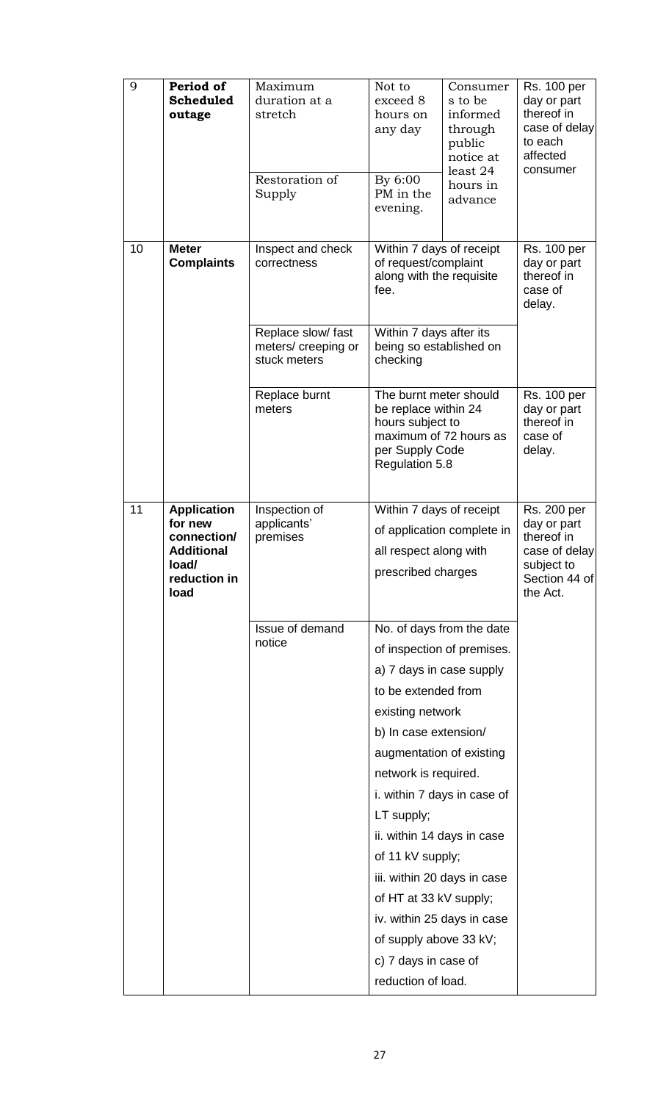| 9  | Period of<br><b>Scheduled</b><br>outage                                                            | Maximum<br>duration at a<br>stretch<br>Restoration of<br>Supply | Not to<br>exceed 8<br>hours on<br>any day<br>By 6:00<br>PM in the<br>evening.                                                                                                                                                                                                                                                                                                                                                                                             | Consumer<br>s to be<br>informed<br>through<br>public<br>notice at<br>least 24<br>hours in<br>advance                              | <b>Rs. 100 per</b><br>day or part<br>thereof in<br>case of delay<br>to each<br>affected<br>consumer |
|----|----------------------------------------------------------------------------------------------------|-----------------------------------------------------------------|---------------------------------------------------------------------------------------------------------------------------------------------------------------------------------------------------------------------------------------------------------------------------------------------------------------------------------------------------------------------------------------------------------------------------------------------------------------------------|-----------------------------------------------------------------------------------------------------------------------------------|-----------------------------------------------------------------------------------------------------|
| 10 | <b>Meter</b><br><b>Complaints</b>                                                                  | Inspect and check<br>correctness                                | Within 7 days of receipt<br>of request/complaint<br>along with the requisite<br>fee.                                                                                                                                                                                                                                                                                                                                                                                      | <b>Rs. 100 per</b><br>day or part<br>thereof in<br>case of<br>delay.                                                              |                                                                                                     |
|    |                                                                                                    | Replace slow/ fast<br>meters/ creeping or<br>stuck meters       | Within 7 days after its<br>being so established on<br>checking                                                                                                                                                                                                                                                                                                                                                                                                            |                                                                                                                                   |                                                                                                     |
|    |                                                                                                    | Replace burnt<br>meters                                         |                                                                                                                                                                                                                                                                                                                                                                                                                                                                           | The burnt meter should<br>be replace within 24<br>hours subject to<br>maximum of 72 hours as<br>per Supply Code<br>Regulation 5.8 |                                                                                                     |
| 11 | <b>Application</b><br>for new<br>connection/<br><b>Additional</b><br>load/<br>reduction in<br>load | Inspection of<br>applicants'<br>premises                        | Within 7 days of receipt<br>of application complete in<br>all respect along with<br>prescribed charges                                                                                                                                                                                                                                                                                                                                                                    | Rs. 200 per<br>day or part<br>thereof in<br>case of delay<br>subject to<br>Section 44 of<br>the Act.                              |                                                                                                     |
|    |                                                                                                    | Issue of demand<br>notice                                       | No. of days from the date<br>of inspection of premises.<br>a) 7 days in case supply<br>to be extended from<br>existing network<br>b) In case extension/<br>augmentation of existing<br>network is required.<br>i. within 7 days in case of<br>LT supply;<br>ii. within 14 days in case<br>of 11 kV supply;<br>iii. within 20 days in case<br>of HT at 33 kV supply;<br>iv. within 25 days in case<br>of supply above 33 kV;<br>c) 7 days in case of<br>reduction of load. |                                                                                                                                   |                                                                                                     |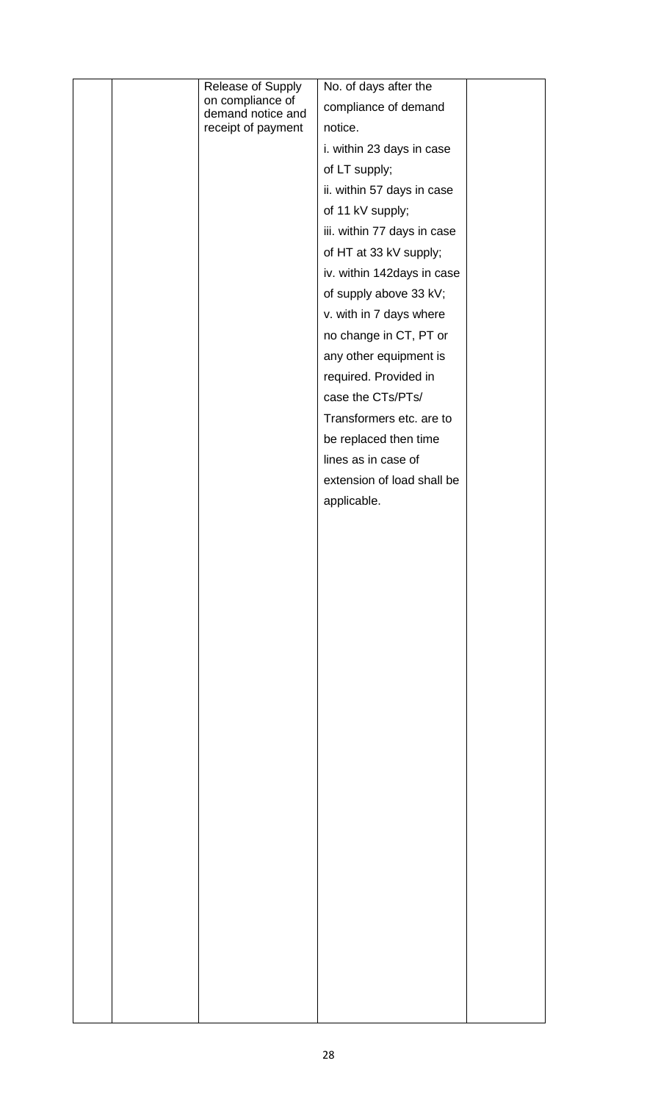|  | Release of Supply                     | No. of days after the       |  |
|--|---------------------------------------|-----------------------------|--|
|  | on compliance of<br>demand notice and | compliance of demand        |  |
|  | receipt of payment                    | notice.                     |  |
|  |                                       | i. within 23 days in case   |  |
|  |                                       | of LT supply;               |  |
|  |                                       | ii. within 57 days in case  |  |
|  |                                       | of 11 kV supply;            |  |
|  |                                       | iii. within 77 days in case |  |
|  |                                       | of HT at 33 kV supply;      |  |
|  |                                       | iv. within 142days in case  |  |
|  |                                       | of supply above 33 kV;      |  |
|  |                                       | v. with in 7 days where     |  |
|  |                                       | no change in CT, PT or      |  |
|  |                                       | any other equipment is      |  |
|  |                                       | required. Provided in       |  |
|  |                                       | case the CTs/PTs/           |  |
|  |                                       | Transformers etc. are to    |  |
|  |                                       | be replaced then time       |  |
|  |                                       | lines as in case of         |  |
|  |                                       | extension of load shall be  |  |
|  |                                       | applicable.                 |  |
|  |                                       |                             |  |
|  |                                       |                             |  |
|  |                                       |                             |  |
|  |                                       |                             |  |
|  |                                       |                             |  |
|  |                                       |                             |  |
|  |                                       |                             |  |
|  |                                       |                             |  |
|  |                                       |                             |  |
|  |                                       |                             |  |
|  |                                       |                             |  |
|  |                                       |                             |  |
|  |                                       |                             |  |
|  |                                       |                             |  |
|  |                                       |                             |  |
|  |                                       |                             |  |
|  |                                       |                             |  |
|  |                                       |                             |  |
|  |                                       |                             |  |
|  |                                       |                             |  |
|  |                                       |                             |  |
|  |                                       |                             |  |
|  |                                       |                             |  |
|  |                                       |                             |  |
|  |                                       |                             |  |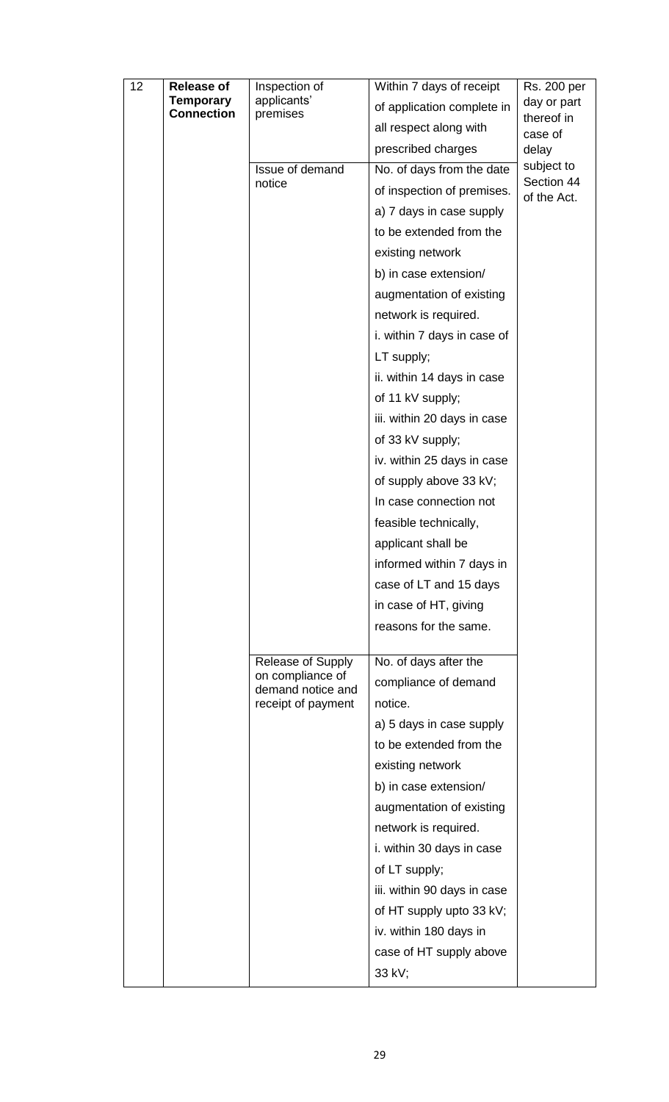| 12                                    | <b>Release of</b> | Inspection of                         | Within 7 days of receipt    | Rs. 200 per      |  |  |  |  |
|---------------------------------------|-------------------|---------------------------------------|-----------------------------|------------------|--|--|--|--|
| <b>Temporary</b><br><b>Connection</b> |                   | applicants'                           | of application complete in  | day or part      |  |  |  |  |
|                                       |                   | premises                              | all respect along with      | thereof in       |  |  |  |  |
|                                       |                   |                                       | prescribed charges          | case of<br>delay |  |  |  |  |
|                                       |                   | Issue of demand                       | No. of days from the date   | subject to       |  |  |  |  |
|                                       |                   | notice                                |                             | Section 44       |  |  |  |  |
|                                       |                   |                                       | of inspection of premises.  | of the Act.      |  |  |  |  |
|                                       |                   |                                       | a) 7 days in case supply    |                  |  |  |  |  |
|                                       |                   |                                       | to be extended from the     |                  |  |  |  |  |
|                                       |                   |                                       | existing network            |                  |  |  |  |  |
|                                       |                   |                                       | b) in case extension/       |                  |  |  |  |  |
|                                       |                   |                                       | augmentation of existing    |                  |  |  |  |  |
|                                       |                   |                                       | network is required.        |                  |  |  |  |  |
|                                       |                   |                                       | i. within 7 days in case of |                  |  |  |  |  |
|                                       |                   |                                       | LT supply;                  |                  |  |  |  |  |
|                                       |                   |                                       | ii. within 14 days in case  |                  |  |  |  |  |
|                                       |                   |                                       | of 11 kV supply;            |                  |  |  |  |  |
|                                       |                   |                                       | iii. within 20 days in case |                  |  |  |  |  |
|                                       |                   |                                       | of 33 kV supply;            |                  |  |  |  |  |
|                                       |                   |                                       | iv. within 25 days in case  |                  |  |  |  |  |
|                                       |                   |                                       | of supply above 33 kV;      |                  |  |  |  |  |
|                                       |                   |                                       | In case connection not      |                  |  |  |  |  |
|                                       |                   |                                       |                             |                  |  |  |  |  |
|                                       |                   |                                       | feasible technically,       |                  |  |  |  |  |
|                                       |                   |                                       | applicant shall be          |                  |  |  |  |  |
|                                       |                   |                                       | informed within 7 days in   |                  |  |  |  |  |
|                                       |                   |                                       | case of LT and 15 days      |                  |  |  |  |  |
|                                       |                   |                                       | in case of HT, giving       |                  |  |  |  |  |
|                                       |                   |                                       | reasons for the same.       |                  |  |  |  |  |
|                                       |                   | Release of Supply                     | No. of days after the       |                  |  |  |  |  |
|                                       |                   | on compliance of<br>demand notice and | compliance of demand        |                  |  |  |  |  |
|                                       |                   | receipt of payment                    | notice.                     |                  |  |  |  |  |
|                                       |                   |                                       | a) 5 days in case supply    |                  |  |  |  |  |
|                                       |                   |                                       | to be extended from the     |                  |  |  |  |  |
|                                       |                   |                                       | existing network            |                  |  |  |  |  |
|                                       |                   |                                       | b) in case extension/       |                  |  |  |  |  |
|                                       |                   |                                       | augmentation of existing    |                  |  |  |  |  |
|                                       |                   |                                       | network is required.        |                  |  |  |  |  |
|                                       |                   |                                       | i. within 30 days in case   |                  |  |  |  |  |
|                                       |                   |                                       |                             |                  |  |  |  |  |
|                                       |                   |                                       | of LT supply;               |                  |  |  |  |  |
|                                       |                   |                                       | iii. within 90 days in case |                  |  |  |  |  |
|                                       |                   |                                       | of HT supply upto 33 kV;    |                  |  |  |  |  |
|                                       |                   |                                       | iv. within 180 days in      |                  |  |  |  |  |
|                                       |                   |                                       | case of HT supply above     |                  |  |  |  |  |
|                                       |                   |                                       | 33 kV;                      |                  |  |  |  |  |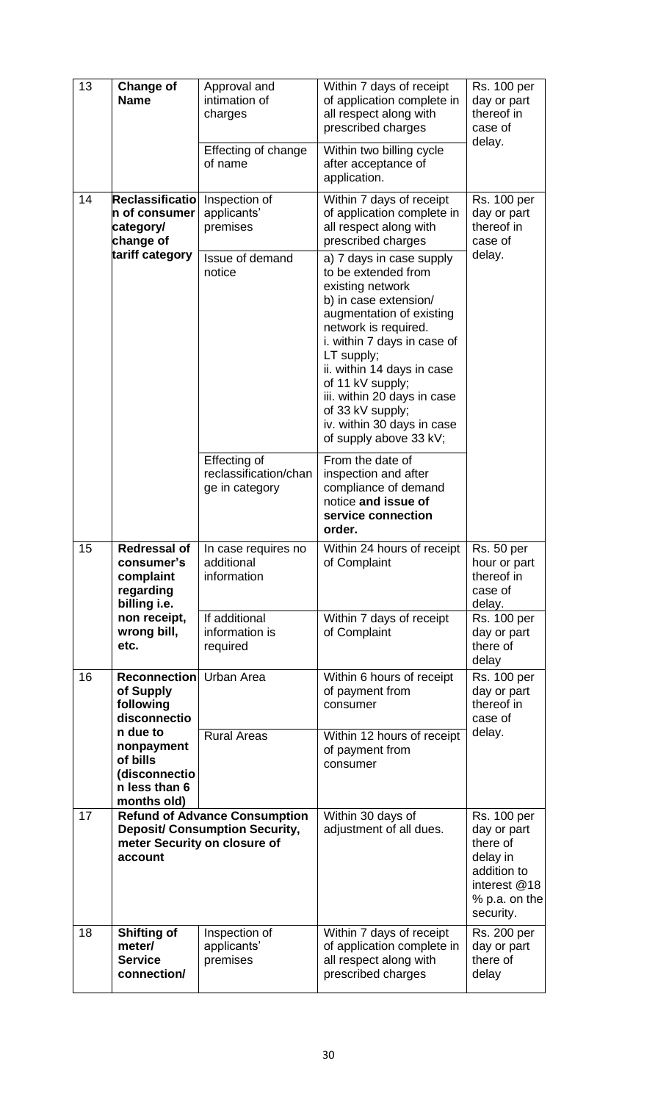| 13              | <b>Change of</b><br><b>Name</b>                                                                                          | Approval and<br>intimation of<br>charges<br>Effecting of change<br>of name | Within 7 days of receipt<br>of application complete in<br>all respect along with<br>prescribed charges<br>Within two billing cycle<br>after acceptance of<br>application.                                                                                                                                                                                  | <b>Rs. 100 per</b><br>day or part<br>thereof in<br>case of<br>delay.                                                   |  |
|-----------------|--------------------------------------------------------------------------------------------------------------------------|----------------------------------------------------------------------------|------------------------------------------------------------------------------------------------------------------------------------------------------------------------------------------------------------------------------------------------------------------------------------------------------------------------------------------------------------|------------------------------------------------------------------------------------------------------------------------|--|
| 14              | Reclassificatio<br>n of consumer<br>category/<br>change of                                                               | Inspection of<br>applicants'<br>premises                                   | Within 7 days of receipt<br>of application complete in<br>all respect along with<br>prescribed charges                                                                                                                                                                                                                                                     | <b>Rs. 100 per</b><br>day or part<br>thereof in<br>case of                                                             |  |
| tariff category |                                                                                                                          | Issue of demand<br>notice                                                  | a) 7 days in case supply<br>to be extended from<br>existing network<br>b) in case extension/<br>augmentation of existing<br>network is required.<br>i. within 7 days in case of<br>LT supply;<br>ii. within 14 days in case<br>of 11 kV supply;<br>iii. within 20 days in case<br>of 33 kV supply;<br>iv. within 30 days in case<br>of supply above 33 kV; | delay.                                                                                                                 |  |
|                 |                                                                                                                          | Effecting of<br>reclassification/chan<br>ge in category                    | From the date of<br>inspection and after<br>compliance of demand<br>notice and issue of<br>service connection<br>order.                                                                                                                                                                                                                                    |                                                                                                                        |  |
| 15              | <b>Redressal of</b><br>consumer's<br>complaint<br>regarding<br>billing i.e.                                              | In case requires no<br>additional<br>information                           | Within 24 hours of receipt<br>of Complaint                                                                                                                                                                                                                                                                                                                 | <b>Rs. 50 per</b><br>hour or part<br>thereof in<br>case of<br>delay.                                                   |  |
|                 | non receipt,<br>wrong bill,<br>etc.                                                                                      | If additional<br>information is<br>required                                | Within 7 days of receipt<br>of Complaint                                                                                                                                                                                                                                                                                                                   | <b>Rs. 100 per</b><br>day or part<br>there of<br>delay                                                                 |  |
| 16              | <b>Reconnection</b><br>of Supply<br>following<br>disconnectio                                                            | Urban Area                                                                 | Within 6 hours of receipt<br>of payment from<br>consumer                                                                                                                                                                                                                                                                                                   | <b>Rs. 100 per</b><br>day or part<br>thereof in<br>case of                                                             |  |
|                 | n due to<br>nonpayment<br>of bills<br>(disconnectio<br>n less than 6<br>months old)                                      | <b>Rural Areas</b>                                                         | Within 12 hours of receipt<br>of payment from<br>consumer                                                                                                                                                                                                                                                                                                  | delay.                                                                                                                 |  |
| 17              | <b>Refund of Advance Consumption</b><br><b>Deposit/ Consumption Security,</b><br>meter Security on closure of<br>account |                                                                            | Within 30 days of<br>adjustment of all dues.                                                                                                                                                                                                                                                                                                               | <b>Rs. 100 per</b><br>day or part<br>there of<br>delay in<br>addition to<br>interest @18<br>% p.a. on the<br>security. |  |
| 18              | <b>Shifting of</b><br>meter/<br><b>Service</b><br>connection/                                                            | Inspection of<br>applicants'<br>premises                                   | Within 7 days of receipt<br>of application complete in<br>all respect along with<br>prescribed charges                                                                                                                                                                                                                                                     | <b>Rs. 200 per</b><br>day or part<br>there of<br>delay                                                                 |  |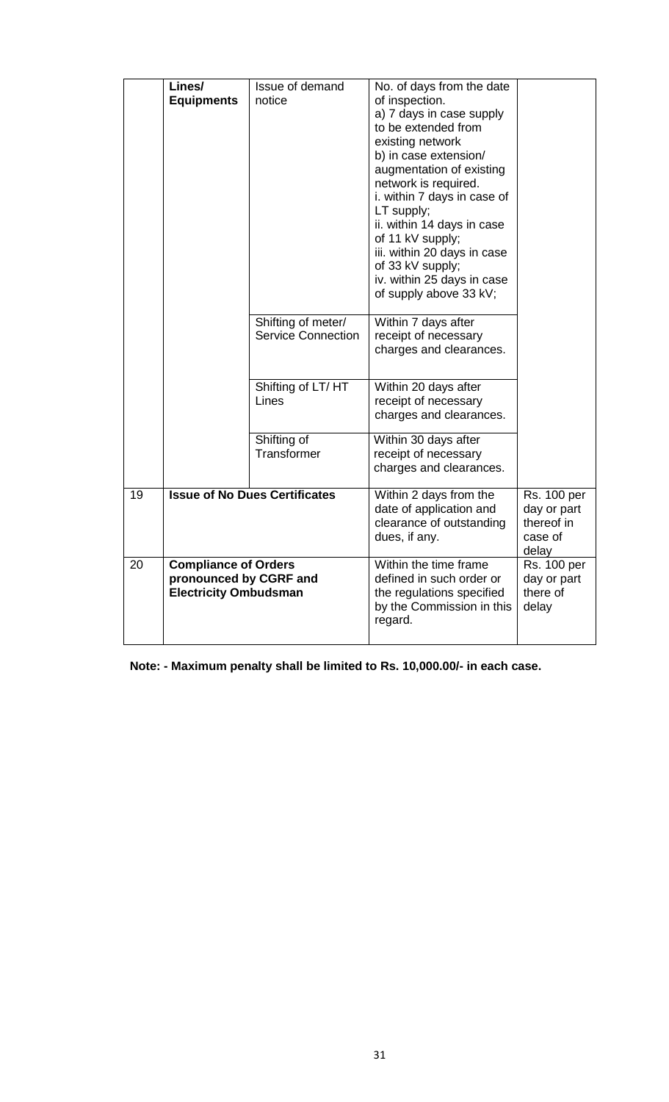|    | Lines/                       | Issue of demand                      | No. of days from the date   |                    |
|----|------------------------------|--------------------------------------|-----------------------------|--------------------|
|    |                              | notice                               |                             |                    |
|    | <b>Equipments</b>            |                                      | of inspection.              |                    |
|    |                              |                                      | a) 7 days in case supply    |                    |
|    |                              |                                      | to be extended from         |                    |
|    |                              |                                      | existing network            |                    |
|    |                              |                                      | b) in case extension/       |                    |
|    |                              |                                      | augmentation of existing    |                    |
|    |                              |                                      | network is required.        |                    |
|    |                              |                                      | i. within 7 days in case of |                    |
|    |                              |                                      | LT supply;                  |                    |
|    |                              |                                      | ii. within 14 days in case  |                    |
|    |                              |                                      | of 11 kV supply;            |                    |
|    |                              |                                      | iii. within 20 days in case |                    |
|    |                              |                                      | of 33 kV supply;            |                    |
|    |                              |                                      | iv. within 25 days in case  |                    |
|    |                              |                                      | of supply above 33 kV;      |                    |
|    |                              |                                      |                             |                    |
|    |                              | Shifting of meter/                   | Within 7 days after         |                    |
|    |                              | <b>Service Connection</b>            | receipt of necessary        |                    |
|    |                              |                                      | charges and clearances.     |                    |
|    |                              |                                      |                             |                    |
|    |                              | Shifting of LT/HT                    | Within 20 days after        |                    |
|    |                              | Lines                                | receipt of necessary        |                    |
|    |                              |                                      | charges and clearances.     |                    |
|    |                              |                                      |                             |                    |
|    |                              | Shifting of<br>Transformer           | Within 30 days after        |                    |
|    |                              |                                      | receipt of necessary        |                    |
|    |                              |                                      | charges and clearances.     |                    |
| 19 |                              | <b>Issue of No Dues Certificates</b> | Within 2 days from the      | <b>Rs. 100 per</b> |
|    |                              |                                      | date of application and     | day or part        |
|    |                              |                                      | clearance of outstanding    | thereof in         |
|    |                              |                                      | dues, if any.               | case of            |
|    |                              |                                      |                             | delay              |
| 20 | <b>Compliance of Orders</b>  |                                      | Within the time frame       | <b>Rs. 100 per</b> |
|    | pronounced by CGRF and       |                                      | defined in such order or    | day or part        |
|    | <b>Electricity Ombudsman</b> |                                      | the regulations specified   | there of           |
|    |                              |                                      | by the Commission in this   | delay              |
|    |                              |                                      | regard.                     |                    |
|    |                              |                                      |                             |                    |

**Note: - Maximum penalty shall be limited to Rs. 10,000.00/- in each case.**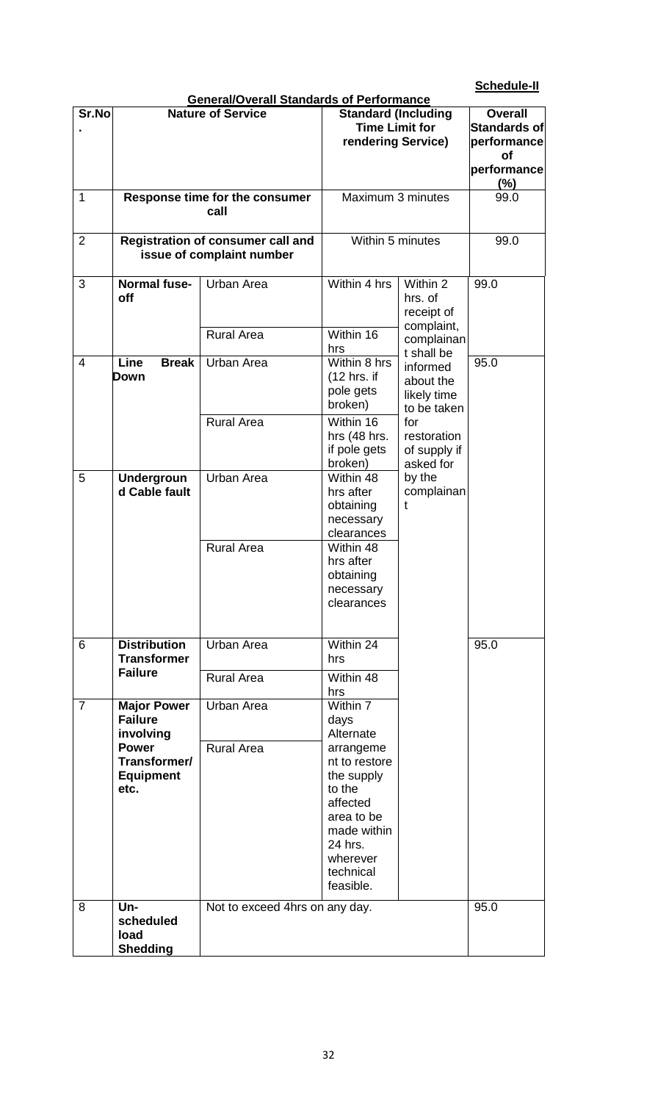# **Schedule-II**

|                | <b>General/Overall Standards of Performance</b> |                                   |                            |                |             |  |
|----------------|-------------------------------------------------|-----------------------------------|----------------------------|----------------|-------------|--|
| Sr.No          |                                                 | <b>Nature of Service</b>          | <b>Standard (Including</b> | <b>Overall</b> |             |  |
|                |                                                 |                                   | <b>Time Limit for</b>      | Standards of   |             |  |
|                |                                                 |                                   | rendering Service)         |                | performance |  |
|                |                                                 |                                   |                            |                | οf          |  |
|                |                                                 |                                   |                            |                | performance |  |
|                |                                                 |                                   |                            |                | $(\%)$      |  |
| 1              |                                                 | Response time for the consumer    | Maximum 3 minutes          |                | 99.0        |  |
|                |                                                 | call                              |                            |                |             |  |
|                |                                                 |                                   |                            |                |             |  |
| $\overline{2}$ |                                                 | Registration of consumer call and | Within 5 minutes           |                | 99.0        |  |
|                |                                                 | issue of complaint number         |                            |                |             |  |
| 3              | <b>Normal fuse-</b>                             | Urban Area                        | Within 4 hrs               | Within 2       | 99.0        |  |
|                | off                                             |                                   |                            | hrs. of        |             |  |
|                |                                                 |                                   |                            | receipt of     |             |  |
|                |                                                 |                                   |                            | complaint,     |             |  |
|                |                                                 | <b>Rural Area</b>                 | Within 16                  | complainan     |             |  |
|                |                                                 |                                   | hrs                        | t shall be     |             |  |
| 4              | Line<br><b>Break</b>                            | Urban Area                        | Within 8 hrs               | informed       | 95.0        |  |
|                | Down                                            |                                   | $(12$ hrs. if              | about the      |             |  |
|                |                                                 |                                   | pole gets                  | likely time    |             |  |
|                |                                                 |                                   | broken)                    | to be taken    |             |  |
|                |                                                 | <b>Rural Area</b>                 | Within 16                  | for            |             |  |
|                |                                                 |                                   | hrs (48 hrs.               | restoration    |             |  |
|                |                                                 |                                   | if pole gets               | of supply if   |             |  |
|                |                                                 |                                   | broken)                    | asked for      |             |  |
| 5              | <b>Undergroun</b>                               | Urban Area                        | Within 48                  | by the         |             |  |
|                | d Cable fault                                   |                                   | hrs after                  | complainan     |             |  |
|                |                                                 |                                   | obtaining                  | t              |             |  |
|                |                                                 |                                   | necessary<br>clearances    |                |             |  |
|                |                                                 | <b>Rural Area</b>                 | Within 48                  |                |             |  |
|                |                                                 |                                   | hrs after                  |                |             |  |
|                |                                                 |                                   | obtaining                  |                |             |  |
|                |                                                 |                                   | necessary                  |                |             |  |
|                |                                                 |                                   | clearances                 |                |             |  |
|                |                                                 |                                   |                            |                |             |  |
|                |                                                 |                                   |                            |                |             |  |
| 6              | <b>Distribution</b>                             | Urban Area                        | Within 24                  |                | 95.0        |  |
|                | <b>Transformer</b>                              |                                   | hrs                        |                |             |  |
|                | <b>Failure</b>                                  | <b>Rural Area</b>                 | Within 48                  |                |             |  |
|                |                                                 |                                   | hrs                        |                |             |  |
| $\overline{7}$ | <b>Major Power</b>                              | Urban Area                        | Within 7                   |                |             |  |
|                | <b>Failure</b>                                  |                                   | days                       |                |             |  |
|                | involving                                       |                                   | Alternate                  |                |             |  |
|                | <b>Power</b>                                    | <b>Rural Area</b>                 | arrangeme                  |                |             |  |
|                | Transformer/                                    |                                   | nt to restore              |                |             |  |
|                | <b>Equipment</b>                                |                                   | the supply                 |                |             |  |
|                | etc.                                            |                                   | to the<br>affected         |                |             |  |
|                |                                                 |                                   | area to be                 |                |             |  |
|                |                                                 |                                   | made within                |                |             |  |
|                |                                                 |                                   | 24 hrs.                    |                |             |  |
|                |                                                 |                                   | wherever                   |                |             |  |
|                |                                                 |                                   | technical                  |                |             |  |
|                |                                                 |                                   | feasible.                  |                |             |  |
|                |                                                 |                                   |                            |                |             |  |
| 8              | $Un-$<br>scheduled                              | Not to exceed 4hrs on any day.    |                            |                | 95.0        |  |
|                | load                                            |                                   |                            |                |             |  |
|                | <b>Shedding</b>                                 |                                   |                            |                |             |  |
|                |                                                 |                                   |                            |                |             |  |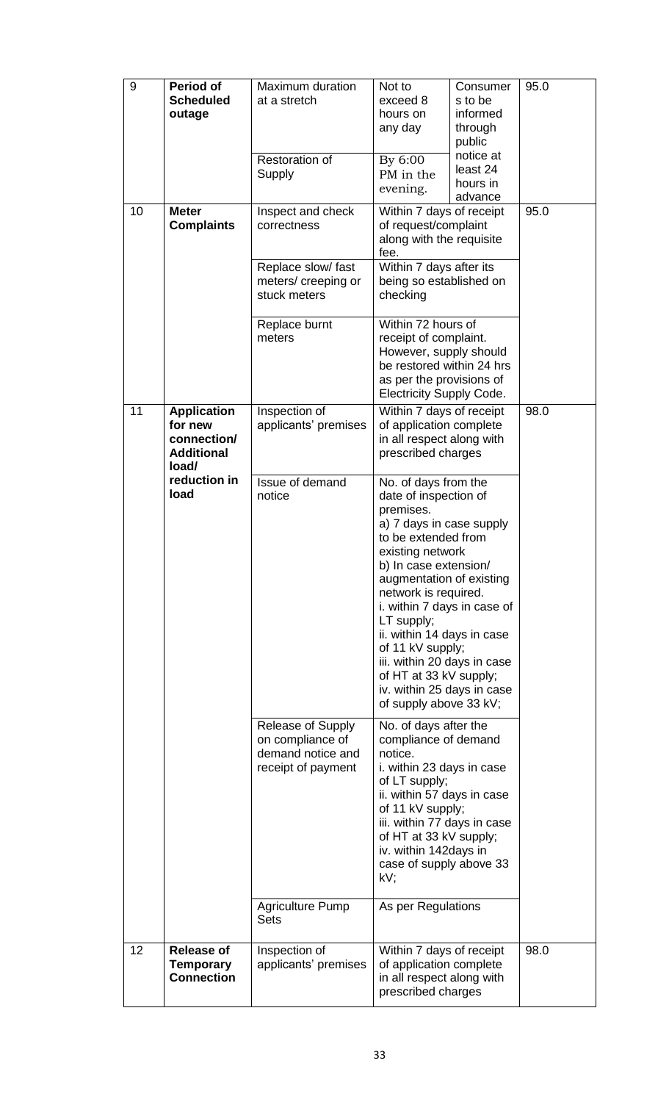| 9  | <b>Period of</b><br><b>Scheduled</b><br>outage                             | Maximum duration<br>at a stretch<br>Restoration of<br>Supply                                                                                                                                                                                                                                                                                                                                                                                                | Not to<br>Consumer<br>exceed 8<br>s to be<br>hours on<br>informed<br>any day<br>through<br>public<br>notice at<br>By 6:00<br>least 24<br>PM in the<br>hours in<br>evening.<br>advance                                                                                         |      | 95.0 |
|----|----------------------------------------------------------------------------|-------------------------------------------------------------------------------------------------------------------------------------------------------------------------------------------------------------------------------------------------------------------------------------------------------------------------------------------------------------------------------------------------------------------------------------------------------------|-------------------------------------------------------------------------------------------------------------------------------------------------------------------------------------------------------------------------------------------------------------------------------|------|------|
| 10 | <b>Meter</b><br><b>Complaints</b>                                          | Inspect and check<br>correctness<br>Replace slow/ fast<br>meters/creeping or<br>stuck meters                                                                                                                                                                                                                                                                                                                                                                | Within 7 days of receipt<br>of request/complaint<br>along with the requisite<br>fee.<br>Within 7 days after its<br>being so established on<br>checking                                                                                                                        |      | 95.0 |
|    |                                                                            | Replace burnt<br>meters                                                                                                                                                                                                                                                                                                                                                                                                                                     | Within 72 hours of<br>receipt of complaint.<br>However, supply should<br>be restored within 24 hrs<br>as per the provisions of<br><b>Electricity Supply Code.</b>                                                                                                             |      |      |
| 11 | <b>Application</b><br>for new<br>connection/<br><b>Additional</b><br>load/ | Inspection of<br>applicants' premises                                                                                                                                                                                                                                                                                                                                                                                                                       | Within 7 days of receipt<br>of application complete<br>in all respect along with<br>prescribed charges                                                                                                                                                                        | 98.0 |      |
|    | reduction in<br>load                                                       | Issue of demand<br>No. of days from the<br>notice<br>date of inspection of<br>premises.<br>a) 7 days in case supply<br>to be extended from<br>existing network<br>b) In case extension/<br>augmentation of existing<br>network is required.<br>i. within 7 days in case of<br>LT supply;<br>ii. within 14 days in case<br>of 11 kV supply;<br>iii. within 20 days in case<br>of HT at 33 kV supply;<br>iv. within 25 days in case<br>of supply above 33 kV; |                                                                                                                                                                                                                                                                               |      |      |
|    |                                                                            | Release of Supply<br>on compliance of<br>demand notice and<br>receipt of payment                                                                                                                                                                                                                                                                                                                                                                            | No. of days after the<br>compliance of demand<br>notice.<br>i. within 23 days in case<br>of LT supply;<br>ii. within 57 days in case<br>of 11 kV supply;<br>iii. within 77 days in case<br>of HT at 33 kV supply;<br>iv. within 142 days in<br>case of supply above 33<br>kV; |      |      |
|    |                                                                            | <b>Agriculture Pump</b><br><b>Sets</b>                                                                                                                                                                                                                                                                                                                                                                                                                      | As per Regulations                                                                                                                                                                                                                                                            |      |      |
| 12 | <b>Release of</b><br>Temporary<br><b>Connection</b>                        | Inspection of<br>applicants' premises                                                                                                                                                                                                                                                                                                                                                                                                                       | Within 7 days of receipt<br>of application complete<br>in all respect along with<br>prescribed charges                                                                                                                                                                        |      | 98.0 |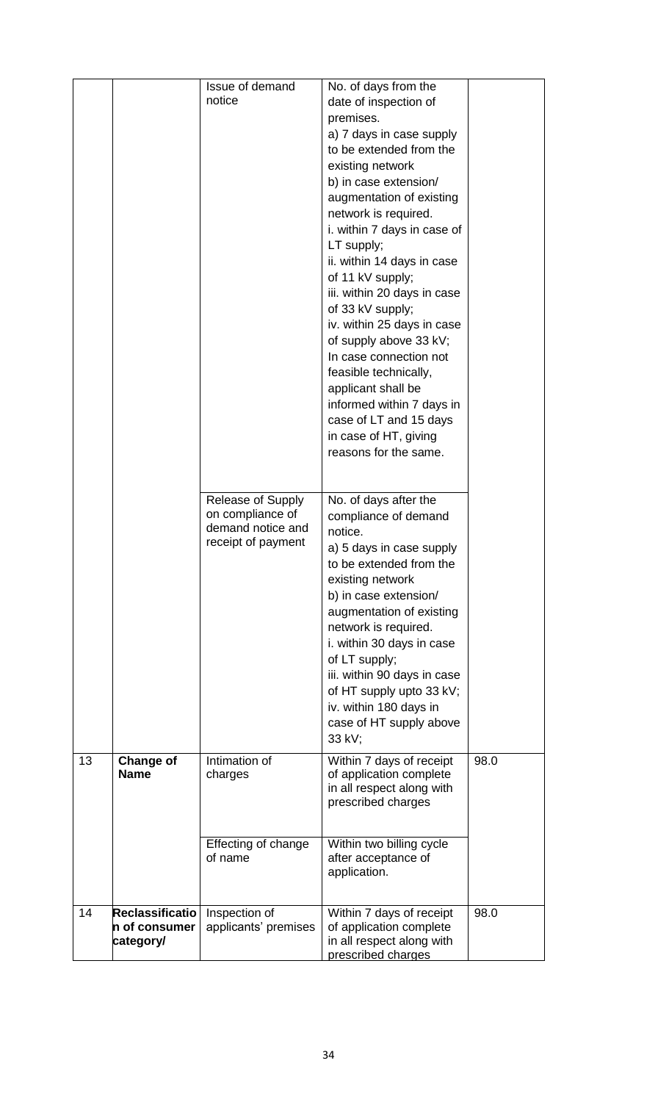|    |                                               | Issue of demand<br>notice                                                               | No. of days from the<br>date of inspection of<br>premises.<br>a) 7 days in case supply<br>to be extended from the<br>existing network<br>b) in case extension/<br>augmentation of existing<br>network is required.<br>i. within 7 days in case of<br>LT supply;<br>ii. within 14 days in case<br>of 11 kV supply;<br>iii. within 20 days in case<br>of 33 kV supply;<br>iv. within 25 days in case<br>of supply above 33 kV;<br>In case connection not<br>feasible technically,<br>applicant shall be<br>informed within 7 days in<br>case of LT and 15 days<br>in case of HT, giving<br>reasons for the same. |      |
|----|-----------------------------------------------|-----------------------------------------------------------------------------------------|----------------------------------------------------------------------------------------------------------------------------------------------------------------------------------------------------------------------------------------------------------------------------------------------------------------------------------------------------------------------------------------------------------------------------------------------------------------------------------------------------------------------------------------------------------------------------------------------------------------|------|
|    |                                               | <b>Release of Supply</b><br>on compliance of<br>demand notice and<br>receipt of payment | No. of days after the<br>compliance of demand<br>notice.<br>a) 5 days in case supply<br>to be extended from the<br>existing network<br>b) in case extension/<br>augmentation of existing<br>network is required.<br>i. within 30 days in case<br>of LT supply;<br>iii. within 90 days in case<br>of HT supply upto 33 kV;<br>iv. within 180 days in<br>case of HT supply above<br>33 kV;                                                                                                                                                                                                                       |      |
| 13 | Change of<br><b>Name</b>                      | Intimation of<br>charges<br>Effecting of change<br>of name                              | Within 7 days of receipt<br>of application complete<br>in all respect along with<br>prescribed charges<br>Within two billing cycle<br>after acceptance of<br>application.                                                                                                                                                                                                                                                                                                                                                                                                                                      | 98.0 |
| 14 | Reclassificatio<br>n of consumer<br>category/ | Inspection of<br>applicants' premises                                                   | Within 7 days of receipt<br>of application complete<br>in all respect along with<br>prescribed charges                                                                                                                                                                                                                                                                                                                                                                                                                                                                                                         | 98.0 |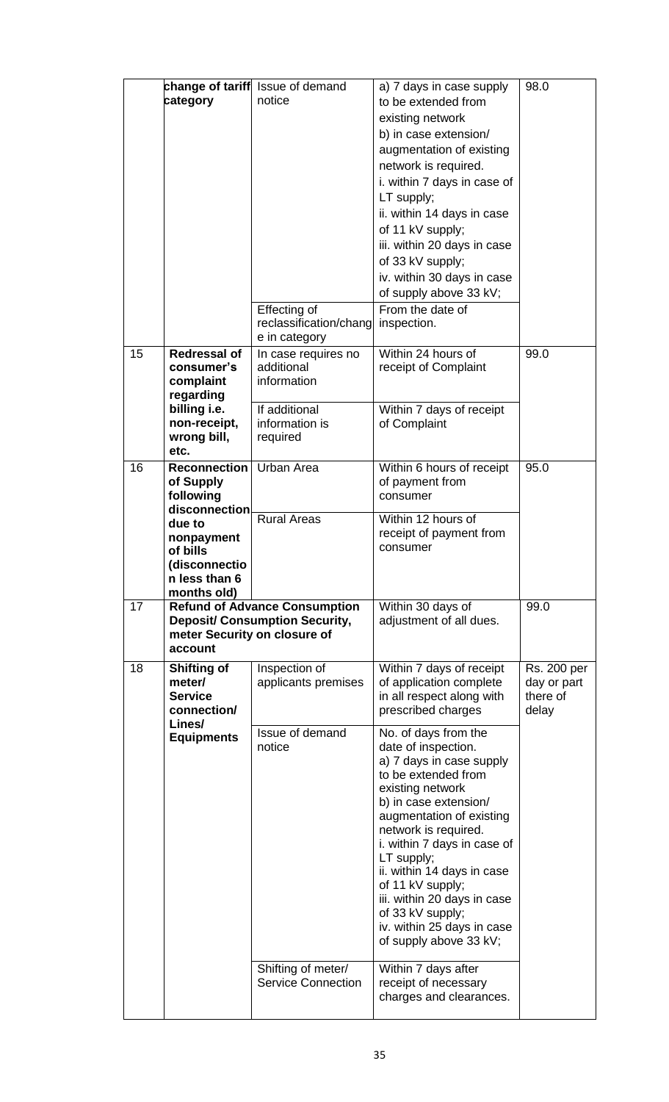|    | category                                                                                                                                            | change of tariff Issue of demand<br>notice<br>Effecting of<br>reclassification/chang<br>e in category                | a) 7 days in case supply<br>to be extended from<br>existing network<br>b) in case extension/<br>augmentation of existing<br>network is required.<br>i. within 7 days in case of<br>LT supply;<br>ii. within 14 days in case<br>of 11 kV supply;<br>iii. within 20 days in case<br>of 33 kV supply;<br>iv. within 30 days in case<br>of supply above 33 kV;<br>From the date of<br>inspection.                                                                                                                                                                                                 | 98.0                                            |
|----|-----------------------------------------------------------------------------------------------------------------------------------------------------|----------------------------------------------------------------------------------------------------------------------|-----------------------------------------------------------------------------------------------------------------------------------------------------------------------------------------------------------------------------------------------------------------------------------------------------------------------------------------------------------------------------------------------------------------------------------------------------------------------------------------------------------------------------------------------------------------------------------------------|-------------------------------------------------|
| 15 | <b>Redressal of</b><br>consumer's<br>complaint<br>regarding<br>billing i.e.<br>non-receipt,<br>wrong bill,<br>etc.                                  | In case requires no<br>additional<br>information<br>If additional<br>information is<br>required                      | Within 24 hours of<br>receipt of Complaint<br>Within 7 days of receipt<br>of Complaint                                                                                                                                                                                                                                                                                                                                                                                                                                                                                                        | 99.0                                            |
| 16 | <b>Reconnection</b><br>of Supply<br>following<br>disconnection<br>due to<br>nonpayment<br>of bills<br>(disconnectio<br>n less than 6<br>months old) | Urban Area<br><b>Rural Areas</b>                                                                                     | Within 6 hours of receipt<br>of payment from<br>consumer<br>Within 12 hours of<br>receipt of payment from<br>consumer                                                                                                                                                                                                                                                                                                                                                                                                                                                                         | 95.0                                            |
| 17 | meter Security on closure of<br>account                                                                                                             | <b>Refund of Advance Consumption</b><br><b>Deposit/ Consumption Security,</b>                                        | Within 30 days of<br>adjustment of all dues.                                                                                                                                                                                                                                                                                                                                                                                                                                                                                                                                                  | 99.0                                            |
| 18 | <b>Shifting of</b><br>meter/<br><b>Service</b><br>connection/<br>Lines/<br><b>Equipments</b>                                                        | Inspection of<br>applicants premises<br>Issue of demand<br>notice<br>Shifting of meter/<br><b>Service Connection</b> | Within 7 days of receipt<br>of application complete<br>in all respect along with<br>prescribed charges<br>No. of days from the<br>date of inspection.<br>a) 7 days in case supply<br>to be extended from<br>existing network<br>b) in case extension/<br>augmentation of existing<br>network is required.<br>i. within 7 days in case of<br>LT supply;<br>ii. within 14 days in case<br>of 11 kV supply;<br>iii. within 20 days in case<br>of 33 kV supply;<br>iv. within 25 days in case<br>of supply above 33 kV;<br>Within 7 days after<br>receipt of necessary<br>charges and clearances. | Rs. 200 per<br>day or part<br>there of<br>delay |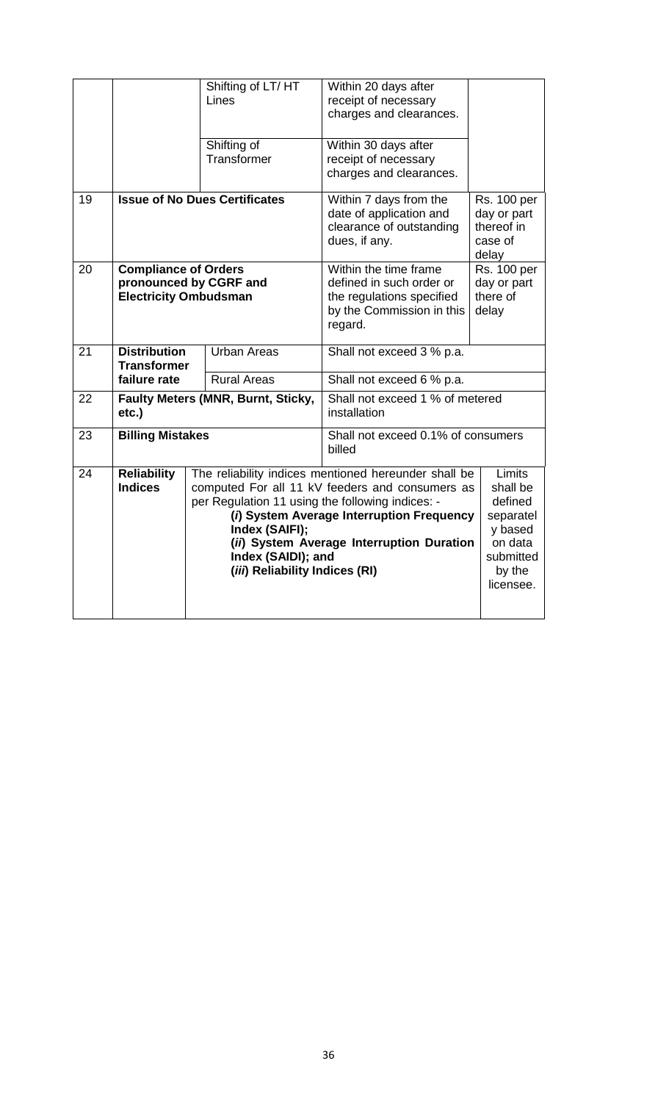|    |                              | Shifting of LT/HT<br>Lines                           | Within 20 days after                                  |                           |  |
|----|------------------------------|------------------------------------------------------|-------------------------------------------------------|---------------------------|--|
|    |                              |                                                      | receipt of necessary<br>charges and clearances.       |                           |  |
|    |                              |                                                      |                                                       |                           |  |
|    |                              | Shifting of                                          | Within 30 days after                                  |                           |  |
|    |                              | Transformer                                          | receipt of necessary                                  |                           |  |
|    |                              |                                                      | charges and clearances.                               |                           |  |
| 19 |                              | <b>Issue of No Dues Certificates</b>                 | Within 7 days from the                                | <b>Rs. 100 per</b>        |  |
|    |                              |                                                      | date of application and<br>clearance of outstanding   | day or part<br>thereof in |  |
|    |                              |                                                      | dues, if any.                                         | case of                   |  |
|    |                              |                                                      |                                                       | delay                     |  |
| 20 | <b>Compliance of Orders</b>  |                                                      | Within the time frame                                 | <b>Rs. 100 per</b>        |  |
|    | <b>Electricity Ombudsman</b> | pronounced by CGRF and                               | defined in such order or<br>the regulations specified | day or part<br>there of   |  |
|    |                              |                                                      | by the Commission in this                             | delay                     |  |
|    |                              |                                                      | regard.                                               |                           |  |
| 21 | <b>Distribution</b>          | <b>Urban Areas</b>                                   | Shall not exceed 3 % p.a.                             |                           |  |
|    | <b>Transformer</b>           |                                                      |                                                       |                           |  |
|    | failure rate                 | <b>Rural Areas</b>                                   | Shall not exceed 6 % p.a.                             |                           |  |
| 22 |                              | Faulty Meters (MNR, Burnt, Sticky,                   | Shall not exceed 1 % of metered<br>installation       |                           |  |
|    | etc.)                        |                                                      |                                                       |                           |  |
| 23 | <b>Billing Mistakes</b>      |                                                      | Shall not exceed 0.1% of consumers                    |                           |  |
|    |                              |                                                      | billed                                                |                           |  |
| 24 | <b>Reliability</b>           |                                                      | The reliability indices mentioned hereunder shall be  | Limits                    |  |
|    | <b>Indices</b>               | per Regulation 11 using the following indices: -     | computed For all 11 kV feeders and consumers as       | shall be<br>defined       |  |
|    |                              |                                                      | (i) System Average Interruption Frequency             | separatel                 |  |
|    |                              | Index (SAIFI);                                       |                                                       | y based                   |  |
|    |                              |                                                      | (ii) System Average Interruption Duration             | on data                   |  |
|    |                              | Index (SAIDI); and<br>(iii) Reliability Indices (RI) |                                                       | submitted<br>by the       |  |
|    |                              |                                                      |                                                       | licensee.                 |  |
|    |                              |                                                      |                                                       |                           |  |
|    |                              |                                                      |                                                       |                           |  |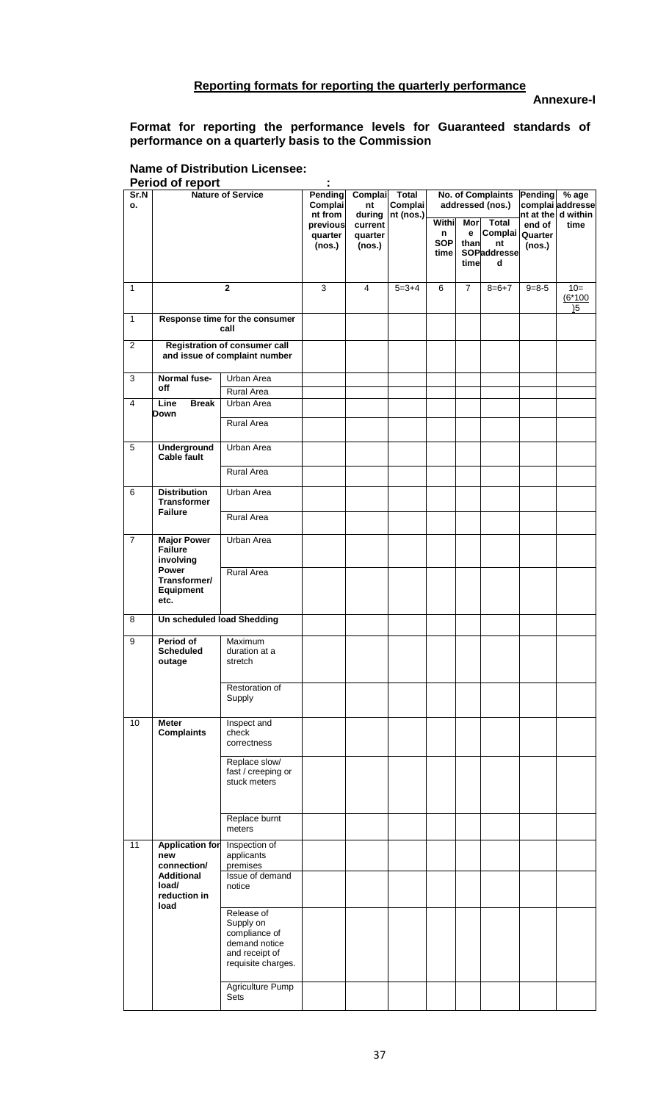# **Reporting formats for reporting the quarterly performance**

**Annexure-I** 

### **Format for reporting the performance levels for Guaranteed standards of performance on a quarterly basis to the Commission**

#### **Name of Distribution Licensee: Period of report :**

| Sr.N<br>о.     | <b>Nature of Service</b>                                    |                                                                                                   | Pending<br><b>Complai</b><br>nt from | Complai<br>Total<br>Complai<br>nt (nos.) |             | <b>No. of Complaints</b><br>addressed (nos.) |                   |                                                               | Pending % age<br>complai addresse<br>nt at the d within |                    |
|----------------|-------------------------------------------------------------|---------------------------------------------------------------------------------------------------|--------------------------------------|------------------------------------------|-------------|----------------------------------------------|-------------------|---------------------------------------------------------------|---------------------------------------------------------|--------------------|
|                |                                                             |                                                                                                   | previous<br>quarter<br>(nos.)        | during<br>current<br>quarter<br>(nos.)   |             | Withi<br>n<br><b>SOP</b><br>time             | е<br>than<br>time | Mor Total<br>Complai Quarter<br>nt<br><b>SOPaddresse</b><br>d | end of<br>(nos.)                                        | time               |
| $\mathbf{1}$   |                                                             | $\mathbf{2}$                                                                                      | 3                                    | 4                                        | $5 = 3 + 4$ | 6                                            | $\overline{7}$    | $8=6+7$                                                       | $9 = 8 - 5$                                             | $10=$<br>$(6*100)$ |
| $\mathbf{1}$   |                                                             | Response time for the consumer<br>call                                                            |                                      |                                          |             |                                              |                   |                                                               |                                                         | $15$               |
| 2              |                                                             | <b>Registration of consumer call</b><br>and issue of complaint number                             |                                      |                                          |             |                                              |                   |                                                               |                                                         |                    |
| 3              | Normal fuse-<br>off                                         | <b>Urban Area</b>                                                                                 |                                      |                                          |             |                                              |                   |                                                               |                                                         |                    |
| $\overline{4}$ | Line<br><b>Break</b>                                        | Rural Area<br>Urban Area                                                                          |                                      |                                          |             |                                              |                   |                                                               |                                                         |                    |
|                | Down                                                        |                                                                                                   |                                      |                                          |             |                                              |                   |                                                               |                                                         |                    |
|                |                                                             | <b>Rural Area</b>                                                                                 |                                      |                                          |             |                                              |                   |                                                               |                                                         |                    |
| 5              | <b>Underground</b><br><b>Cable fault</b>                    | Urban Area                                                                                        |                                      |                                          |             |                                              |                   |                                                               |                                                         |                    |
|                |                                                             | Rural Area                                                                                        |                                      |                                          |             |                                              |                   |                                                               |                                                         |                    |
| 6              | <b>Distribution</b><br><b>Transformer</b><br><b>Failure</b> | Urban Area                                                                                        |                                      |                                          |             |                                              |                   |                                                               |                                                         |                    |
|                |                                                             | <b>Rural Area</b>                                                                                 |                                      |                                          |             |                                              |                   |                                                               |                                                         |                    |
| $\overline{7}$ | <b>Major Power</b><br><b>Failure</b><br>involving           | Urban Area                                                                                        |                                      |                                          |             |                                              |                   |                                                               |                                                         |                    |
|                | Power<br>Transformer/<br>Equipment<br>etc.                  | Rural Area                                                                                        |                                      |                                          |             |                                              |                   |                                                               |                                                         |                    |
| 8              | Un scheduled load Shedding                                  |                                                                                                   |                                      |                                          |             |                                              |                   |                                                               |                                                         |                    |
| 9              | Period of<br><b>Scheduled</b><br>outage                     | Maximum<br>duration at a<br>stretch                                                               |                                      |                                          |             |                                              |                   |                                                               |                                                         |                    |
|                |                                                             | Restoration of<br>Supply                                                                          |                                      |                                          |             |                                              |                   |                                                               |                                                         |                    |
| 10             | <b>Meter</b><br><b>Complaints</b>                           | Inspect and<br>check<br>correctness                                                               |                                      |                                          |             |                                              |                   |                                                               |                                                         |                    |
|                |                                                             | Replace slow/<br>fast / creeping or<br>stuck meters                                               |                                      |                                          |             |                                              |                   |                                                               |                                                         |                    |
|                |                                                             | Replace burnt<br>meters                                                                           |                                      |                                          |             |                                              |                   |                                                               |                                                         |                    |
| 11             | <b>Application for</b><br>new<br>connection/                | Inspection of<br>applicants<br>premises                                                           |                                      |                                          |             |                                              |                   |                                                               |                                                         |                    |
|                | <b>Additional</b><br>load/<br>reduction in<br>load          | Issue of demand<br>notice                                                                         |                                      |                                          |             |                                              |                   |                                                               |                                                         |                    |
|                |                                                             | Release of<br>Supply on<br>compliance of<br>demand notice<br>and receipt of<br>requisite charges. |                                      |                                          |             |                                              |                   |                                                               |                                                         |                    |
|                |                                                             | Agriculture Pump<br>Sets                                                                          |                                      |                                          |             |                                              |                   |                                                               |                                                         |                    |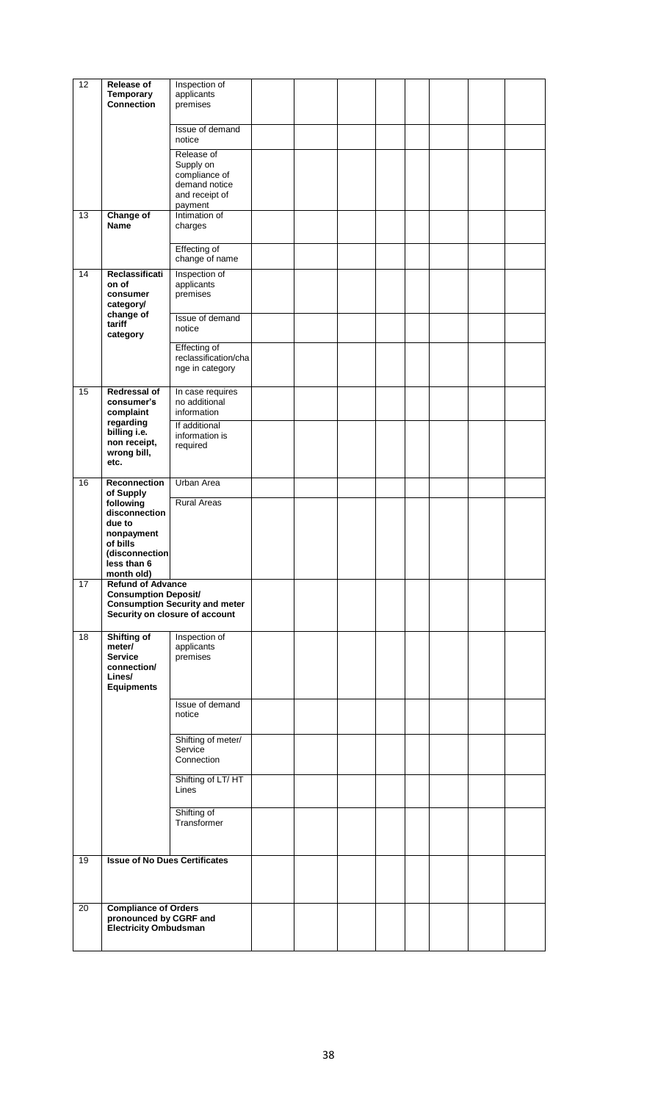| 12 | Release of<br>Temporary<br>Connection                                                            | Inspection of<br>applicants<br>premises                                                |  |  |  |  |
|----|--------------------------------------------------------------------------------------------------|----------------------------------------------------------------------------------------|--|--|--|--|
|    |                                                                                                  | Issue of demand<br>notice                                                              |  |  |  |  |
|    |                                                                                                  | Release of<br>Supply on<br>compliance of<br>demand notice<br>and receipt of<br>payment |  |  |  |  |
| 13 | <b>Change of</b><br><b>Name</b>                                                                  | Intimation of<br>charges                                                               |  |  |  |  |
|    |                                                                                                  | <b>Effecting of</b><br>change of name                                                  |  |  |  |  |
| 14 | Reclassificati<br>on of<br>consumer<br>category/                                                 | Inspection of<br>applicants<br>premises                                                |  |  |  |  |
|    | change of<br>tariff<br>category                                                                  | Issue of demand<br>notice                                                              |  |  |  |  |
|    |                                                                                                  | <b>Effecting of</b><br>reclassification/cha<br>nge in category                         |  |  |  |  |
| 15 | Redressal of<br>consumer's<br>complaint                                                          | In case requires<br>no additional<br>information                                       |  |  |  |  |
|    | regarding<br>billing i.e.<br>non receipt,<br>wrong bill,<br>etc.                                 | If additional<br>information is<br>required                                            |  |  |  |  |
| 16 | Reconnection<br>of Supply                                                                        | Urban Area                                                                             |  |  |  |  |
|    | following<br>disconnection<br>due to<br>nonpayment<br>of bills<br>(disconnection)<br>less than 6 | <b>Rural Areas</b>                                                                     |  |  |  |  |
| 17 | month old)<br><b>Refund of Advance</b>                                                           |                                                                                        |  |  |  |  |
|    | <b>Consumption Deposit/</b>                                                                      | <b>Consumption Security and meter</b><br>Security on closure of account                |  |  |  |  |
| 18 | Shifting of<br>meter/<br><b>Service</b><br>connection/<br>Lines/<br><b>Equipments</b>            | Inspection of<br>applicants<br>premises                                                |  |  |  |  |
|    |                                                                                                  | Issue of demand<br>notice                                                              |  |  |  |  |
|    |                                                                                                  | Shifting of meter/<br>Service<br>Connection                                            |  |  |  |  |
|    |                                                                                                  | Shifting of LT/ HT<br>Lines                                                            |  |  |  |  |
|    |                                                                                                  | Shifting of<br>Transformer                                                             |  |  |  |  |
| 19 | <b>Issue of No Dues Certificates</b>                                                             |                                                                                        |  |  |  |  |
| 20 | <b>Compliance of Orders</b><br>pronounced by CGRF and<br><b>Electricity Ombudsman</b>            |                                                                                        |  |  |  |  |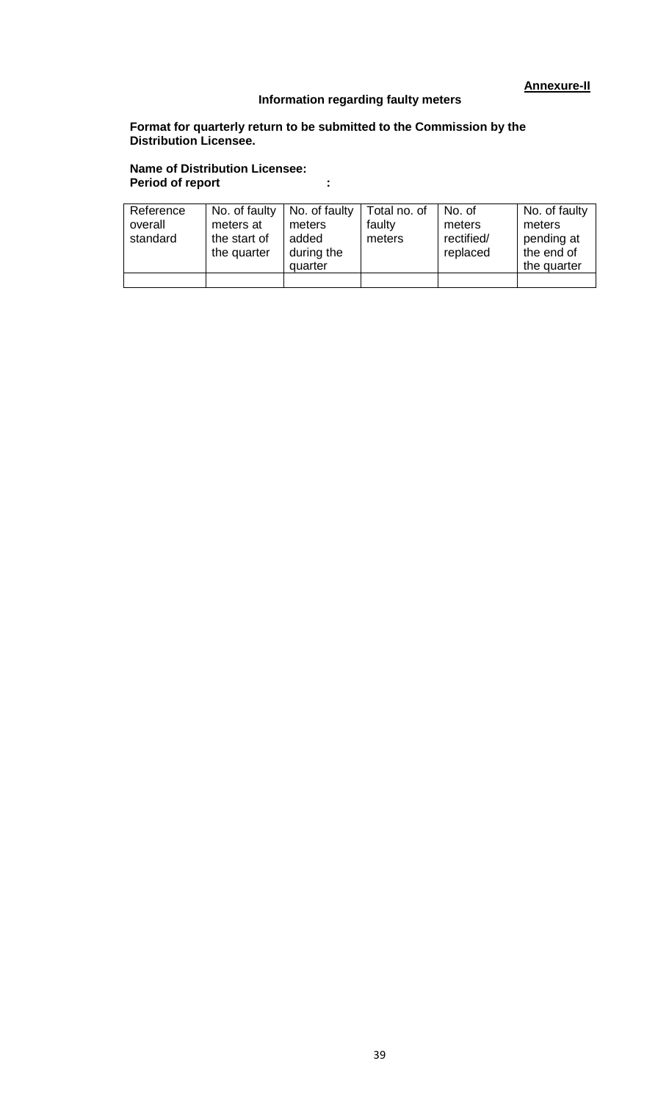# **Information regarding faulty meters**

# **Format for quarterly return to be submitted to the Commission by the Distribution Licensee.**

### **Name of Distribution Licensee: Period of report :**

| Reference<br>overall<br>standard | No. of faulty<br>meters at<br>the start of<br>the quarter | No. of faulty<br>meters<br>added<br>during the<br>quarter | Total no. of<br>faulty<br>meters | No. of<br>meters<br>rectified/<br>replaced | No. of faulty<br>meters<br>pending at<br>the end of<br>the quarter |
|----------------------------------|-----------------------------------------------------------|-----------------------------------------------------------|----------------------------------|--------------------------------------------|--------------------------------------------------------------------|
|                                  |                                                           |                                                           |                                  |                                            |                                                                    |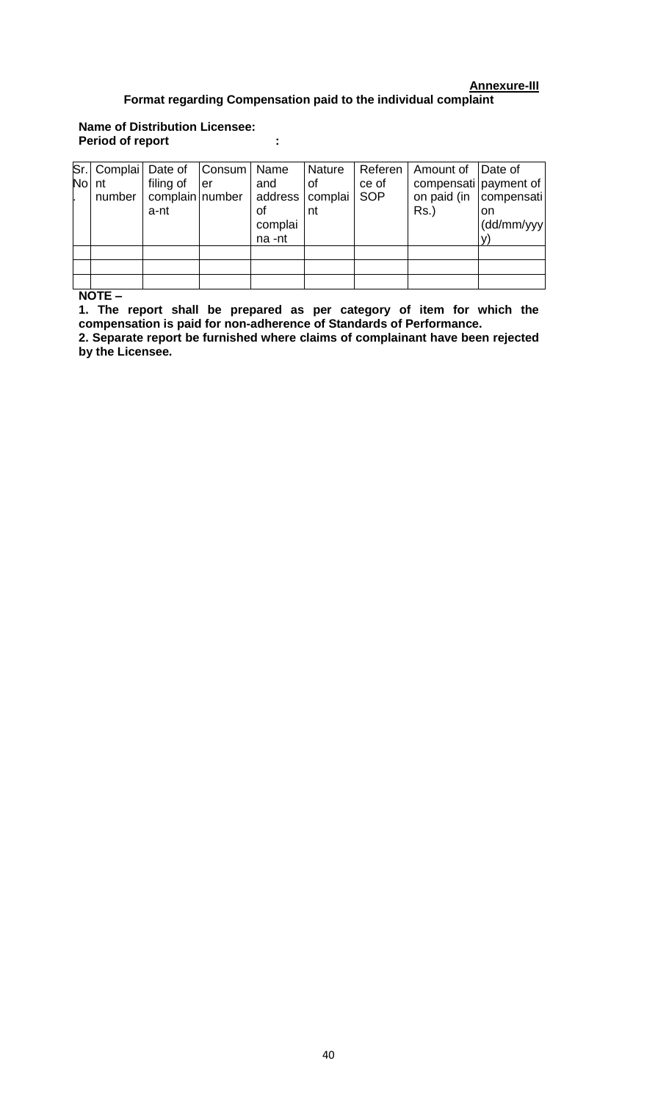# **Annexure-III Format regarding Compensation paid to the individual complaint**

# **Name of Distribution Licensee: Period of report :**

|       |        | Sr. Complai   Date of   Consum   Name |     |                                                     | Nature   |                     | Referen   Amount of   Date of                                  |                  |
|-------|--------|---------------------------------------|-----|-----------------------------------------------------|----------|---------------------|----------------------------------------------------------------|------------------|
| No nt | number | filing of<br>complain number<br>a-nt  | ler | and<br>address   complai<br>οf<br>complai<br>na -nt | οf<br>nt | ce of<br><b>SOP</b> | compensati payment of<br>on paid (in   compensati  <br>$Rs.$ ) | on<br>(dd/mm/yyy |
|       |        |                                       |     |                                                     |          |                     |                                                                |                  |
|       |        |                                       |     |                                                     |          |                     |                                                                |                  |
|       |        |                                       |     |                                                     |          |                     |                                                                |                  |

**NOTE –**

**1. The report shall be prepared as per category of item for which the compensation is paid for non-adherence of Standards of Performance.**

**2. Separate report be furnished where claims of complainant have been rejected by the Licensee.**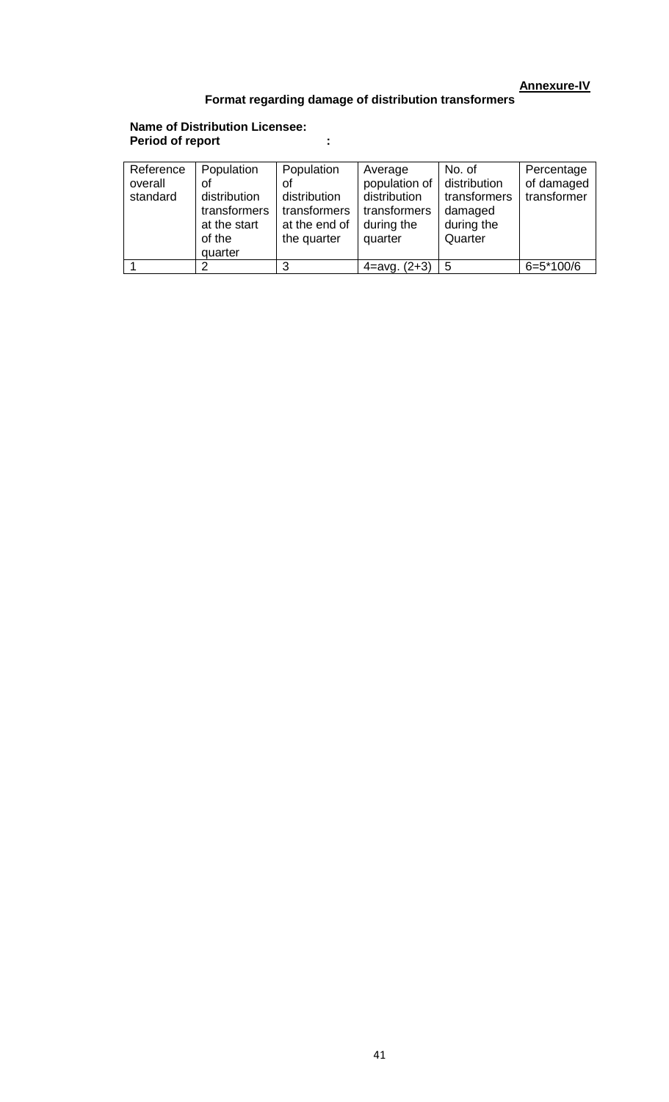# **Annexure-IV**

# **Format regarding damage of distribution transformers**

### **Name of Distribution Licensee: Period of report :**

| Reference<br>overall<br>standard | Population<br>оt<br>distribution<br>transformers<br>at the start<br>of the | Population<br>οf<br>distribution<br>transformers<br>at the end of<br>the quarter | Average<br>population of<br>distribution<br>transformers<br>during the<br>quarter | No. of<br>distribution<br>transformers<br>damaged<br>during the<br>Quarter | Percentage<br>of damaged<br>transformer |
|----------------------------------|----------------------------------------------------------------------------|----------------------------------------------------------------------------------|-----------------------------------------------------------------------------------|----------------------------------------------------------------------------|-----------------------------------------|
|                                  | quarter                                                                    |                                                                                  |                                                                                   |                                                                            |                                         |
|                                  | ⌒                                                                          | 3                                                                                | $4 = avg. (2+3)$                                                                  | 5                                                                          | $6=5*100/6$                             |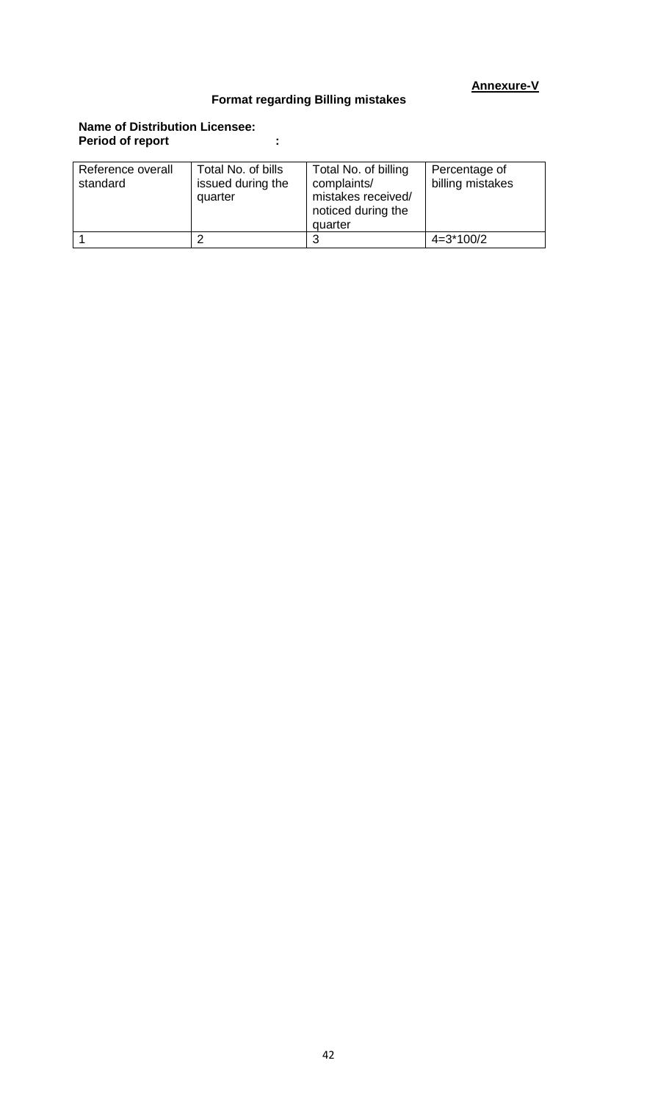# **Annexure-V**

# **Format regarding Billing mistakes**

# **Name of Distribution Licensee: Period of report :**

| Reference overall<br>standard | Total No. of bills<br>issued during the<br>quarter | Total No. of billing<br>complaints/<br>mistakes received/<br>noticed during the<br>quarter | Percentage of<br>billing mistakes |
|-------------------------------|----------------------------------------------------|--------------------------------------------------------------------------------------------|-----------------------------------|
|                               |                                                    | 3                                                                                          | $4=3*100/2$                       |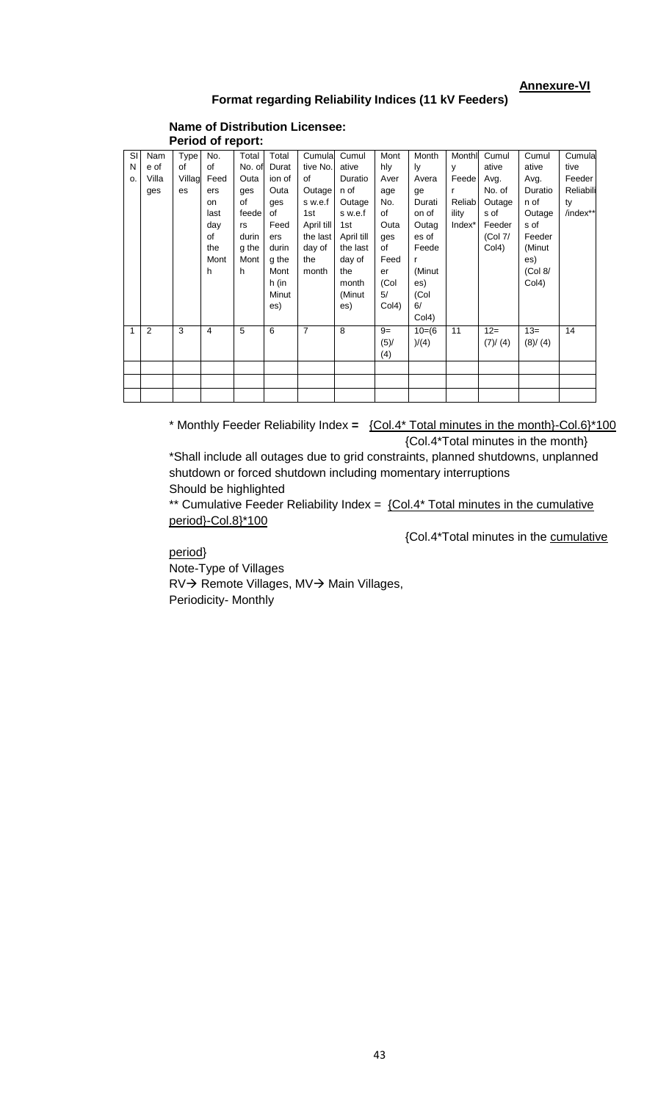# **Annexure-VI**

# **Format regarding Reliability Indices (11 kV Feeders)**

#### **Name of Distribution Licensee: Period of report:**

| SI | Nam   | <b>Type</b> | No.  | Total  | Total  | Cumula     | Cumul      | Mont               | Month     | Monthl       | Cumul     | Cumul   | Cumulal   |
|----|-------|-------------|------|--------|--------|------------|------------|--------------------|-----------|--------------|-----------|---------|-----------|
| N  | e of  | of          | of   | No. of | Durat  | tive No.   | ative      | hly                | ly        | $\mathsf{v}$ | ative     | ative   | tive      |
| o. | Villa | Villag      | Feed | Outa   | ion of | of         | Duratio    | Aver               | Avera     | Feede        | Avg.      | Avg.    | Feeder    |
|    | ges   | es          | ers  | ges    | Outa   | Outage     | n of       | age                | ge        | r            | No. of    | Duratio | Reliabili |
|    |       |             | on   | of     | ges    | s w.e.f    | Outage     | No.                | Durati    | Reliab       | Outage    | n of    | ty        |
|    |       |             | last | feede  | of     | 1st        | s w.e.f    | of                 | on of     | ility        | s of      | Outage  | /index**  |
|    |       |             | day  | rs     | Feed   | April till | 1st        | Outa               | Outag     | Index*       | Feeder    | s of    |           |
|    |       |             | of   | durin  | ers    | the last   | April till | ges                | es of     |              | (Col 7/   | Feeder  |           |
|    |       |             | the  | g the  | durin  | day of     | the last   | of                 | Feede     |              | Col4)     | (Minut  |           |
|    |       |             | Mont | Mont   | g the  | the        | day of     | Feed               |           |              |           | es)     |           |
|    |       |             | h    | h      | Mont   | month      | the        | er                 | (Minut    |              |           | (Col 8/ |           |
|    |       |             |      |        | h (in  |            | month      | (Col               | es)       |              |           | Col4)   |           |
|    |       |             |      |        | Minut  |            | (Minut     | 5/                 | (Col      |              |           |         |           |
|    |       |             |      |        | es)    |            | es)        | Col <sub>4</sub> ) | 6/        |              |           |         |           |
|    |       |             |      |        |        |            |            |                    | Col4)     |              |           |         |           |
| 1  | 2     | 3           | 4    | 5      | 6      | 7          | 8          | $9=$               | $10= (6)$ | 11           | $12=$     | $13=$   | 14        |
|    |       |             |      |        |        |            |            | (5)/               | )/(4)     |              | (7) / (4) | (8)/(4) |           |
|    |       |             |      |        |        |            |            | (4)                |           |              |           |         |           |
|    |       |             |      |        |        |            |            |                    |           |              |           |         |           |
|    |       |             |      |        |        |            |            |                    |           |              |           |         |           |
|    |       |             |      |        |        |            |            |                    |           |              |           |         |           |

\* Monthly Feeder Reliability Index **=** {Col.4\* Total minutes in the month}-Col.6}\*100 {Col.4\*Total minutes in the month}

\*Shall include all outages due to grid constraints, planned shutdowns, unplanned shutdown or forced shutdown including momentary interruptions Should be highlighted

\*\* Cumulative Feeder Reliability Index =  ${COI.4*}$  Total minutes in the cumulative period}-Col.8}\*100

{Col.4\*Total minutes in the cumulative

period}

Note-Type of Villages RV→ Remote Villages, MV→ Main Villages, Periodicity- Monthly